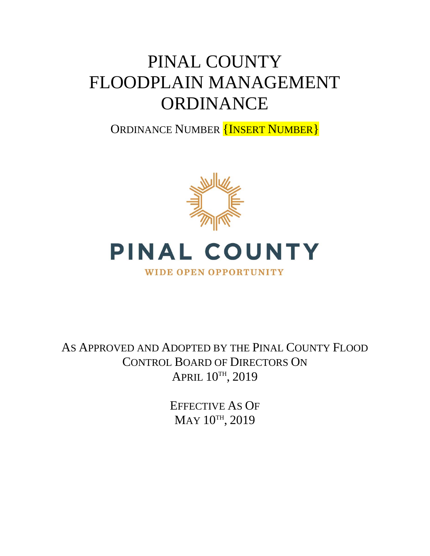# PINAL COUNTY FLOODPLAIN MANAGEMENT **ORDINANCE**

ORDINANCE NUMBER **{INSERT NUMBER}** 





### **WIDE OPEN OPPORTUNITY**

AS APPROVED AND ADOPTED BY THE PINAL COUNTY FLOOD CONTROL BOARD OF DIRECTORS ON APRIL 10TH, 2019

> EFFECTIVE AS OF MAY 10TH, 2019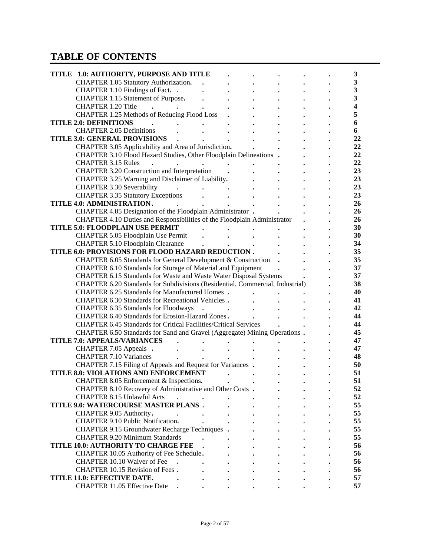# **TABLE OF CONTENTS**

| TITLE 1.0: AUTHORITY, PURPOSE AND TITLE                                       |  |  | 3                       |
|-------------------------------------------------------------------------------|--|--|-------------------------|
| CHAPTER 1.05 Statutory Authorization.                                         |  |  | 3                       |
| CHAPTER 1.10 Findings of Fact. .                                              |  |  | 3                       |
| CHAPTER 1.15 Statement of Purpose.                                            |  |  | $\overline{\mathbf{3}}$ |
| <b>CHAPTER 1.20 Title</b>                                                     |  |  | 4                       |
| CHAPTER 1.25 Methods of Reducing Flood Loss                                   |  |  | 5                       |
| <b>TITLE 2.0: DEFINITIONS</b>                                                 |  |  | 6                       |
| <b>CHAPTER 2.05 Definitions</b>                                               |  |  | 6                       |
|                                                                               |  |  | 22                      |
| <b>TITLE 3.0: GENERAL PROVISIONS</b>                                          |  |  |                         |
| CHAPTER 3.05 Applicability and Area of Jurisdiction.                          |  |  | 22                      |
| CHAPTER 3.10 Flood Hazard Studies, Other Floodplain Delineations .            |  |  | 22                      |
| <b>CHAPTER 3.15 Rules</b>                                                     |  |  | 22                      |
| CHAPTER 3.20 Construction and Interpretation                                  |  |  | 23                      |
| CHAPTER 3.25 Warning and Disclaimer of Liability.                             |  |  | 23                      |
| <b>CHAPTER 3.30 Severability</b>                                              |  |  | 23                      |
| <b>CHAPTER 3.35 Statutory Exceptions</b>                                      |  |  | 23                      |
| TITLE 4.0: ADMINISTRATION.                                                    |  |  | 26                      |
| CHAPTER 4.05 Designation of the Floodplain Administrator .                    |  |  | 26                      |
| CHAPTER 4.10 Duties and Responsibilities of the Floodplain Administrator      |  |  | 26                      |
| <b>TITLE 5.0: FLOODPLAIN USE PERMIT</b>                                       |  |  | 30                      |
| CHAPTER 5.05 Floodplain Use Permit                                            |  |  | 30                      |
| <b>CHAPTER 5.10 Floodplain Clearance</b>                                      |  |  | 34                      |
| TITLE 6.0: PROVISIONS FOR FLOOD HAZARD REDUCTION.                             |  |  | 35                      |
| CHAPTER 6.05 Standards for General Development & Construction                 |  |  | 35                      |
| CHAPTER 6.10 Standards for Storage of Material and Equipment                  |  |  | 37                      |
| CHAPTER 6.15 Standards for Waste and Waste Water Disposal Systems             |  |  | 37                      |
| CHAPTER 6.20 Standards for Subdivisions (Residential, Commercial, Industrial) |  |  | 38                      |
| <b>CHAPTER 6.25 Standards for Manufactured Homes.</b>                         |  |  | 40                      |
| CHAPTER 6.30 Standards for Recreational Vehicles.                             |  |  | 41                      |
| CHAPTER 6.35 Standards for Floodways                                          |  |  | 42                      |
| CHAPTER 6.40 Standards for Erosion-Hazard Zones.                              |  |  | 44                      |
| CHAPTER 6.45 Standards for Critical Facilities/Critical Services              |  |  | 44                      |
| CHAPTER 6.50 Standards for Sand and Gravel (Aggregate) Mining Operations .    |  |  | 45                      |
| <b>TITLE 7.0: APPEALS/VARIANCES</b>                                           |  |  |                         |
|                                                                               |  |  |                         |
|                                                                               |  |  | 47                      |
| CHAPTER 7.05 Appeals .                                                        |  |  | 47                      |
| <b>CHAPTER 7.10 Variances</b>                                                 |  |  | 48                      |
| CHAPTER 7.15 Filing of Appeals and Request for Variances .                    |  |  | 50                      |
| TITLE 8.0: VIOLATIONS AND ENFORCEMENT                                         |  |  | 51                      |
| CHAPTER 8.05 Enforcement & Inspections.                                       |  |  | 51                      |
| CHAPTER 8.10 Recovery of Administrative and Other Costs.                      |  |  | 52                      |
| <b>CHAPTER 8.15 Unlawful Acts</b>                                             |  |  | 52                      |
| TITLE 9.0: WATERCOURSE MASTER PLANS.                                          |  |  | 55                      |
| CHAPTER 9.05 Authority.                                                       |  |  | 55                      |
| CHAPTER 9.10 Public Notification.                                             |  |  | 55                      |
| CHAPTER 9.15 Groundwater Recharge Techniques .                                |  |  | 55                      |
| <b>CHAPTER 9.20 Minimum Standards</b>                                         |  |  | 55                      |
| TITLE 10.0: AUTHORITY TO CHARGE FEE                                           |  |  | 56                      |
| CHAPTER 10.05 Authority of Fee Schedule.                                      |  |  | 56                      |
| CHAPTER 10.10 Waiver of Fee<br>$\ddot{\phantom{a}}$                           |  |  | 56                      |
| CHAPTER 10.15 Revision of Fees.                                               |  |  | 56                      |
| TITLE 11.0: EFFECTIVE DATE.<br><b>CHAPTER 11.05 Effective Date</b>            |  |  | 57<br>57                |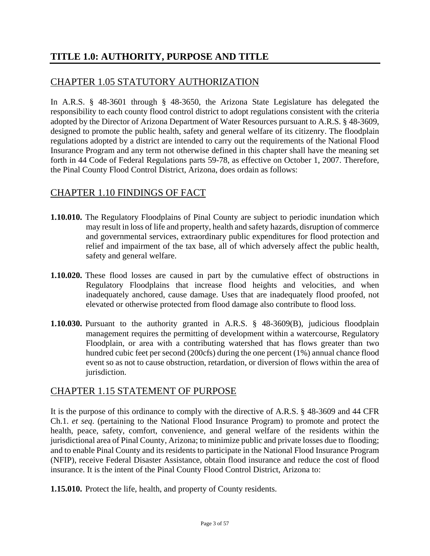# **TITLE 1.0: AUTHORITY, PURPOSE AND TITLE**

#### CHAPTER 1.05 STATUTORY AUTHORIZATION

In A.R.S. § 48-3601 through § 48-3650, the Arizona State Legislature has delegated the responsibility to each county flood control district to adopt regulations consistent with the criteria adopted by the Director of Arizona Department of Water Resources pursuant to A.R.S. § 48-3609, designed to promote the public health, safety and general welfare of its citizenry. The floodplain regulations adopted by a district are intended to carry out the requirements of the National Flood Insurance Program and any term not otherwise defined in this chapter shall have the meaning set forth in 44 Code of Federal Regulations parts 59-78, as effective on October 1, 2007. Therefore, the Pinal County Flood Control District, Arizona, does ordain as follows:

#### CHAPTER 1.10 FINDINGS OF FACT

- **1.10.010.** The Regulatory Floodplains of Pinal County are subject to periodic inundation which may result in loss of life and property, health and safety hazards, disruption of commerce and governmental services, extraordinary public expenditures for flood protection and relief and impairment of the tax base, all of which adversely affect the public health, safety and general welfare.
- **1.10.020.** These flood losses are caused in part by the cumulative effect of obstructions in Regulatory Floodplains that increase flood heights and velocities, and when inadequately anchored, cause damage. Uses that are inadequately flood proofed, not elevated or otherwise protected from flood damage also contribute to flood loss.
- **1.10.030.** Pursuant to the authority granted in A.R.S. § 48-3609(B), judicious floodplain management requires the permitting of development within a watercourse, Regulatory Floodplain, or area with a contributing watershed that has flows greater than two hundred cubic feet per second (200cfs) during the one percent (1%) annual chance flood event so as not to cause obstruction, retardation, or diversion of flows within the area of jurisdiction.

#### CHAPTER 1.15 STATEMENT OF PURPOSE

It is the purpose of this ordinance to comply with the directive of A.R.S. § 48-3609 and 44 CFR Ch.1. *et seq*. (pertaining to the National Flood Insurance Program) to promote and protect the health, peace, safety, comfort, convenience, and general welfare of the residents within the jurisdictional area of Pinal County, Arizona; to minimize public and private losses due to flooding; and to enable Pinal County and its residents to participate in the National Flood Insurance Program (NFIP), receive Federal Disaster Assistance, obtain flood insurance and reduce the cost of flood insurance. It is the intent of the Pinal County Flood Control District, Arizona to:

**1.15.010.** Protect the life, health, and property of County residents.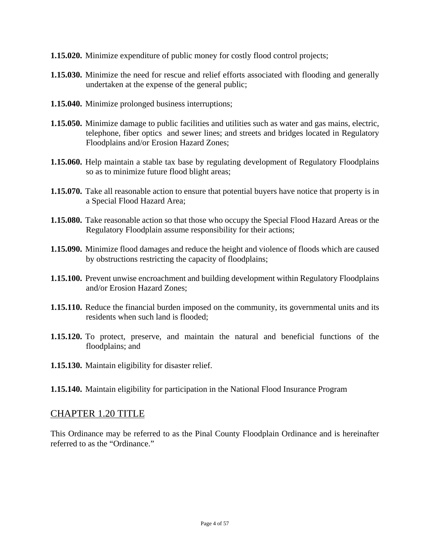- **1.15.020.** Minimize expenditure of public money for costly flood control projects;
- **1.15.030.** Minimize the need for rescue and relief efforts associated with flooding and generally undertaken at the expense of the general public;
- **1.15.040.** Minimize prolonged business interruptions;
- **1.15.050.** Minimize damage to public facilities and utilities such as water and gas mains, electric, telephone, fiber optics and sewer lines; and streets and bridges located in Regulatory Floodplains and/or Erosion Hazard Zones;
- **1.15.060.** Help maintain a stable tax base by regulating development of Regulatory Floodplains so as to minimize future flood blight areas;
- **1.15.070.** Take all reasonable action to ensure that potential buyers have notice that property is in a Special Flood Hazard Area;
- **1.15.080.** Take reasonable action so that those who occupy the Special Flood Hazard Areas or the Regulatory Floodplain assume responsibility for their actions;
- **1.15.090.** Minimize flood damages and reduce the height and violence of floods which are caused by obstructions restricting the capacity of floodplains;
- **1.15.100.** Prevent unwise encroachment and building development within Regulatory Floodplains and/or Erosion Hazard Zones;
- **1.15.110.** Reduce the financial burden imposed on the community, its governmental units and its residents when such land is flooded;
- **1.15.120.** To protect, preserve, and maintain the natural and beneficial functions of the floodplains; and
- **1.15.130.** Maintain eligibility for disaster relief.
- **1.15.140.** Maintain eligibility for participation in the National Flood Insurance Program

#### CHAPTER 1.20 TITLE

This Ordinance may be referred to as the Pinal County Floodplain Ordinance and is hereinafter referred to as the "Ordinance."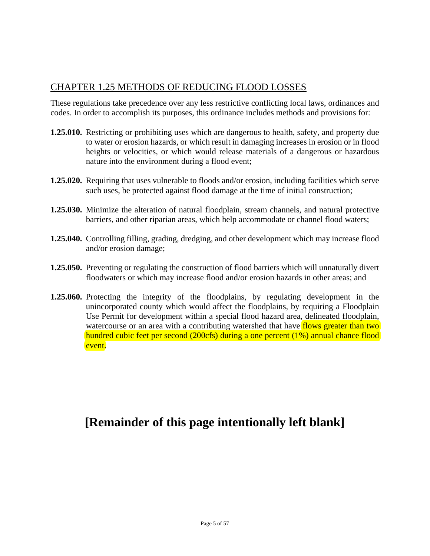### CHAPTER 1.25 METHODS OF REDUCING FLOOD LOSSES

These regulations take precedence over any less restrictive conflicting local laws, ordinances and codes. In order to accomplish its purposes, this ordinance includes methods and provisions for:

- **1.25.010.** Restricting or prohibiting uses which are dangerous to health, safety, and property due to water or erosion hazards, or which result in damaging increases in erosion or in flood heights or velocities, or which would release materials of a dangerous or hazardous nature into the environment during a flood event;
- **1.25.020.** Requiring that uses vulnerable to floods and/or erosion, including facilities which serve such uses, be protected against flood damage at the time of initial construction;
- **1.25.030.** Minimize the alteration of natural floodplain, stream channels, and natural protective barriers, and other riparian areas, which help accommodate or channel flood waters;
- **1.25.040.** Controlling filling, grading, dredging, and other development which may increase flood and/or erosion damage;
- **1.25.050.** Preventing or regulating the construction of flood barriers which will unnaturally divert floodwaters or which may increase flood and/or erosion hazards in other areas; and
- **1.25.060.** Protecting the integrity of the floodplains, by regulating development in the unincorporated county which would affect the floodplains, by requiring a Floodplain Use Permit for development within a special flood hazard area, delineated floodplain, watercourse or an area with a contributing watershed that have flows greater than two hundred cubic feet per second (200cfs) during a one percent (1%) annual chance flood event.

# **[Remainder of this page intentionally left blank]**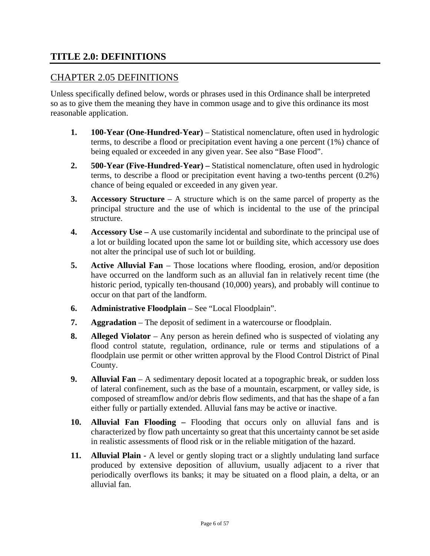#### **TITLE 2.0: DEFINITIONS**

#### CHAPTER 2.05 DEFINITIONS

Unless specifically defined below, words or phrases used in this Ordinance shall be interpreted so as to give them the meaning they have in common usage and to give this ordinance its most reasonable application.

- **1. 100-Year (One-Hundred-Year)** Statistical nomenclature, often used in hydrologic terms, to describe a flood or precipitation event having a one percent (1%) chance of being equaled or exceeded in any given year. See also "Base Flood".
- **2. 500-Year (Five-Hundred-Year)** Statistical nomenclature, often used in hydrologic terms, to describe a flood or precipitation event having a two-tenths percent (0.2%) chance of being equaled or exceeded in any given year.
- **3. Accessory Structure** A structure which is on the same parcel of property as the principal structure and the use of which is incidental to the use of the principal structure.
- **4. Accessory Use** A use customarily incidental and subordinate to the principal use of a lot or building located upon the same lot or building site, which accessory use does not alter the principal use of such lot or building.
- **5. Active Alluvial Fan** Those locations where flooding, erosion, and/or deposition have occurred on the landform such as an alluvial fan in relatively recent time (the historic period, typically ten-thousand (10,000) years), and probably will continue to occur on that part of the landform.
- **6. Administrative Floodplain** See "Local Floodplain".
- **7. Aggradation** The deposit of sediment in a watercourse or floodplain.
- **8. Alleged Violator** Any person as herein defined who is suspected of violating any flood control statute, regulation, ordinance, rule or terms and stipulations of a floodplain use permit or other written approval by the Flood Control District of Pinal County.
- **9. Alluvial Fan** A sedimentary deposit located at a topographic break, or sudden loss of lateral confinement, such as the base of a mountain, escarpment, or valley side, is composed of streamflow and/or debris flow sediments, and that has the shape of a fan either fully or partially extended. Alluvial fans may be active or inactive.
- **10. Alluvial Fan Flooding** Flooding that occurs only on alluvial fans and is characterized by flow path uncertainty so great that this uncertainty cannot be set aside in realistic assessments of flood risk or in the reliable mitigation of the hazard.
- **11. Alluvial Plain** A level or gently sloping tract or a slightly undulating land surface produced by extensive deposition of alluvium, usually adjacent to a river that periodically overflows its banks; it may be situated on a flood plain, a delta, or an alluvial fan.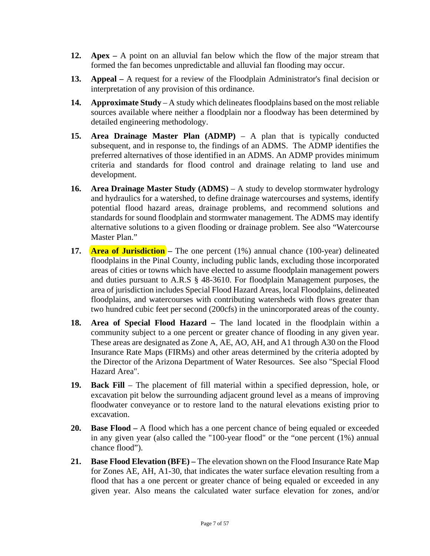- **12. Apex** A point on an alluvial fan below which the flow of the major stream that formed the fan becomes unpredictable and alluvial fan flooding may occur.
- **13. Appeal** A request for a review of the Floodplain Administrator's final decision or interpretation of any provision of this ordinance.
- **14. Approximate Study** A study which delineates floodplains based on the most reliable sources available where neither a floodplain nor a floodway has been determined by detailed engineering methodology.
- **15. Area Drainage Master Plan (ADMP)** A plan that is typically conducted subsequent, and in response to, the findings of an ADMS. The ADMP identifies the preferred alternatives of those identified in an ADMS. An ADMP provides minimum criteria and standards for flood control and drainage relating to land use and development.
- **16. Area Drainage Master Study (ADMS)** A study to develop stormwater hydrology and hydraulics for a watershed, to define drainage watercourses and systems, identify potential flood hazard areas, drainage problems, and recommend solutions and standards for sound floodplain and stormwater management. The ADMS may identify alternative solutions to a given flooding or drainage problem. See also "Watercourse Master Plan."
- **17. Area of Jurisdiction –** The one percent (1%) annual chance (100-year) delineated floodplains in the Pinal County, including public lands, excluding those incorporated areas of cities or towns which have elected to assume floodplain management powers and duties pursuant to A.R.S § 48-3610. For floodplain Management purposes, the area of jurisdiction includes Special Flood Hazard Areas, local Floodplains, delineated floodplains, and watercourses with contributing watersheds with flows greater than two hundred cubic feet per second (200cfs) in the unincorporated areas of the county.
- **18. Area of Special Flood Hazard –** The land located in the floodplain within a community subject to a one percent or greater chance of flooding in any given year. These areas are designated as Zone A, AE, AO, AH, and A1 through A30 on the Flood Insurance Rate Maps (FIRMs) and other areas determined by the criteria adopted by the Director of the Arizona Department of Water Resources. See also "Special Flood Hazard Area".
- **19. Back Fill** The placement of fill material within a specified depression, hole, or excavation pit below the surrounding adjacent ground level as a means of improving floodwater conveyance or to restore land to the natural elevations existing prior to excavation.
- **20. Base Flood –** A flood which has a one percent chance of being equaled or exceeded in any given year (also called the "100-year flood" or the "one percent (1%) annual chance flood").
- **21. Base Flood Elevation (BFE)** The elevation shown on the Flood Insurance Rate Map for Zones AE, AH, A1-30, that indicates the water surface elevation resulting from a flood that has a one percent or greater chance of being equaled or exceeded in any given year. Also means the calculated water surface elevation for zones, and/or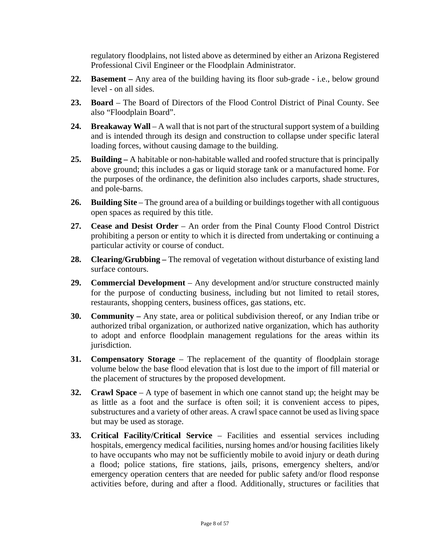regulatory floodplains, not listed above as determined by either an Arizona Registered Professional Civil Engineer or the Floodplain Administrator.

- **22. Basement –** Any area of the building having its floor sub-grade i.e., below ground level - on all sides.
- **23. Board** The Board of Directors of the Flood Control District of Pinal County. See also "Floodplain Board".
- **24. Breakaway Wall** A wall that is not part of the structural support system of a building and is intended through its design and construction to collapse under specific lateral loading forces, without causing damage to the building.
- **25. Building** A habitable or non-habitable walled and roofed structure that is principally above ground; this includes a gas or liquid storage tank or a manufactured home. For the purposes of the ordinance, the definition also includes carports, shade structures, and pole-barns.
- 26. **Building Site** The ground area of a building or buildings together with all contiguous open spaces as required by this title.
- **27. Cease and Desist Order** An order from the Pinal County Flood Control District prohibiting a person or entity to which it is directed from undertaking or continuing a particular activity or course of conduct.
- **28. Clearing/Grubbing –** The removal of vegetation without disturbance of existing land surface contours.
- **29. Commercial Development** Any development and/or structure constructed mainly for the purpose of conducting business, including but not limited to retail stores, restaurants, shopping centers, business offices, gas stations, etc.
- **30. Community** Any state, area or political subdivision thereof, or any Indian tribe or authorized tribal organization, or authorized native organization, which has authority to adopt and enforce floodplain management regulations for the areas within its jurisdiction.
- **31. Compensatory Storage** The replacement of the quantity of floodplain storage volume below the base flood elevation that is lost due to the import of fill material or the placement of structures by the proposed development.
- **32. Crawl Space** A type of basement in which one cannot stand up; the height may be as little as a foot and the surface is often soil; it is convenient access to pipes, substructures and a variety of other areas. A crawl space cannot be used as living space but may be used as storage.
- **33. Critical Facility/Critical Service**  Facilities and essential services including hospitals, emergency medical facilities, nursing homes and/or housing facilities likely to have occupants who may not be sufficiently mobile to avoid injury or death during a flood; police stations, fire stations, jails, prisons, emergency shelters, and/or emergency operation centers that are needed for public safety and/or flood response activities before, during and after a flood. Additionally, structures or facilities that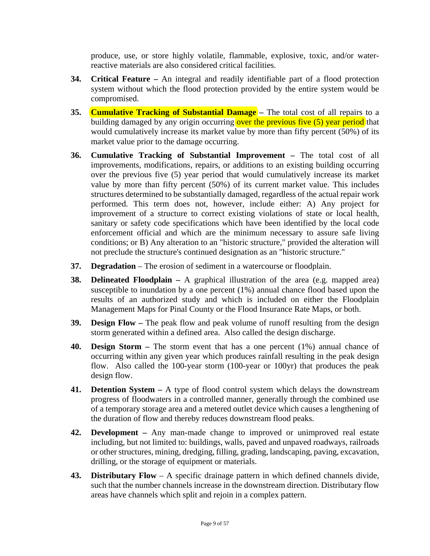produce, use, or store highly volatile, flammable, explosive, toxic, and/or waterreactive materials are also considered critical facilities.

- **34. Critical Feature** An integral and readily identifiable part of a flood protection system without which the flood protection provided by the entire system would be compromised.
- **35. Cumulative Tracking of Substantial Damage** The total cost of all repairs to a building damaged by any origin occurring over the previous five (5) year period that would cumulatively increase its market value by more than fifty percent (50%) of its market value prior to the damage occurring.
- **36. Cumulative Tracking of Substantial Improvement** The total cost of all improvements, modifications, repairs, or additions to an existing building occurring over the previous five (5) year period that would cumulatively increase its market value by more than fifty percent (50%) of its current market value. This includes structures determined to be substantially damaged, regardless of the actual repair work performed. This term does not, however, include either: A) Any project for improvement of a structure to correct existing violations of state or local health, sanitary or safety code specifications which have been identified by the local code enforcement official and which are the minimum necessary to assure safe living conditions; or B) Any alteration to an "historic structure," provided the alteration will not preclude the structure's continued designation as an "historic structure."
- **37. Degradation** The erosion of sediment in a watercourse or floodplain.
- **38. Delineated Floodplain** A graphical illustration of the area (e.g. mapped area) susceptible to inundation by a one percent (1%) annual chance flood based upon the results of an authorized study and which is included on either the Floodplain Management Maps for Pinal County or the Flood Insurance Rate Maps, or both.
- **39. Design Flow** The peak flow and peak volume of runoff resulting from the design storm generated within a defined area. Also called the design discharge.
- **40. Design Storm** The storm event that has a one percent (1%) annual chance of occurring within any given year which produces rainfall resulting in the peak design flow. Also called the 100-year storm (100-year or 100yr) that produces the peak design flow.
- **41. Detention System –** A type of flood control system which delays the downstream progress of floodwaters in a controlled manner, generally through the combined use of a temporary storage area and a metered outlet device which causes a lengthening of the duration of flow and thereby reduces downstream flood peaks.
- **42. Development** Any man-made change to improved or unimproved real estate including, but not limited to: buildings, walls, paved and unpaved roadways, railroads or other structures, mining, dredging, filling, grading, landscaping, paving, excavation, drilling, or the storage of equipment or materials.
- **43. Distributary Flow** A specific drainage pattern in which defined channels divide, such that the number channels increase in the downstream direction. Distributary flow areas have channels which split and rejoin in a complex pattern.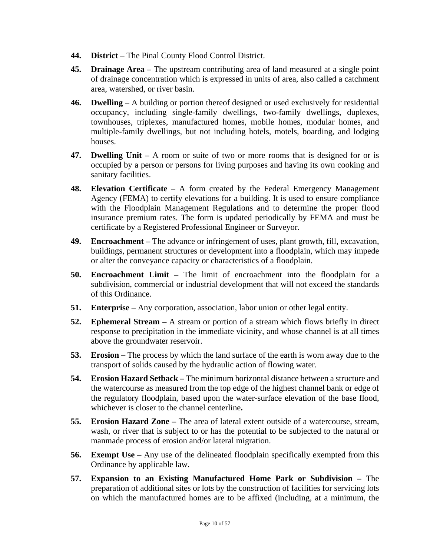- **44. District** The Pinal County Flood Control District.
- **45. Drainage Area** The upstream contributing area of land measured at a single point of drainage concentration which is expressed in units of area, also called a catchment area, watershed, or river basin.
- **46. Dwelling** A building or portion thereof designed or used exclusively for residential occupancy, including single-family dwellings, two-family dwellings, duplexes, townhouses, triplexes, manufactured homes, mobile homes, modular homes, and multiple-family dwellings, but not including hotels, motels, boarding, and lodging houses.
- **47. Dwelling Unit** A room or suite of two or more rooms that is designed for or is occupied by a person or persons for living purposes and having its own cooking and sanitary facilities.
- **48. Elevation Certificate**  A form created by the Federal Emergency Management Agency (FEMA) to certify elevations for a building. It is used to ensure compliance with the Floodplain Management Regulations and to determine the proper flood insurance premium rates. The form is updated periodically by FEMA and must be certificate by a Registered Professional Engineer or Surveyor.
- **49. Encroachment** The advance or infringement of uses, plant growth, fill, excavation, buildings, permanent structures or development into a floodplain, which may impede or alter the conveyance capacity or characteristics of a floodplain.
- **50. Encroachment Limit** The limit of encroachment into the floodplain for a subdivision, commercial or industrial development that will not exceed the standards of this Ordinance.
- **51. Enterprise** Any corporation, association, labor union or other legal entity.
- **52. Ephemeral Stream** A stream or portion of a stream which flows briefly in direct response to precipitation in the immediate vicinity, and whose channel is at all times above the groundwater reservoir.
- **53. Erosion** The process by which the land surface of the earth is worn away due to the transport of solids caused by the hydraulic action of flowing water.
- **54. Erosion Hazard Setback** The minimum horizontal distance between a structure and the watercourse as measured from the top edge of the highest channel bank or edge of the regulatory floodplain, based upon the water-surface elevation of the base flood, whichever is closer to the channel centerline**.**
- **55. Erosion Hazard Zone** The area of lateral extent outside of a watercourse, stream, wash, or river that is subject to or has the potential to be subjected to the natural or manmade process of erosion and/or lateral migration.
- **56. Exempt Use** Any use of the delineated floodplain specifically exempted from this Ordinance by applicable law.
- **57. Expansion to an Existing Manufactured Home Park or Subdivision** The preparation of additional sites or lots by the construction of facilities for servicing lots on which the manufactured homes are to be affixed (including, at a minimum, the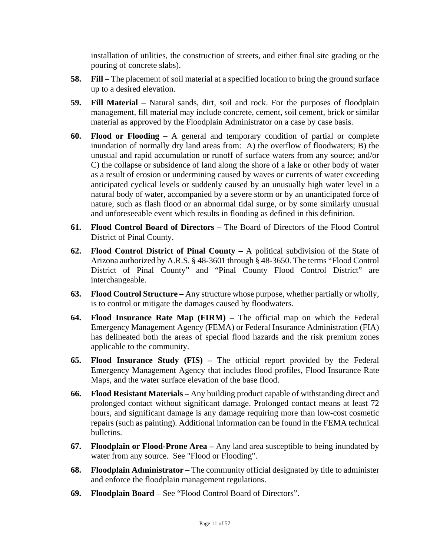installation of utilities, the construction of streets, and either final site grading or the pouring of concrete slabs).

- **58. Fill** The placement of soil material at a specified location to bring the ground surface up to a desired elevation.
- **59. Fill Material** Natural sands, dirt, soil and rock. For the purposes of floodplain management, fill material may include concrete, cement, soil cement, brick or similar material as approved by the Floodplain Administrator on a case by case basis.
- **60. Flood or Flooding** A general and temporary condition of partial or complete inundation of normally dry land areas from: A) the overflow of floodwaters; B) the unusual and rapid accumulation or runoff of surface waters from any source; and/or C) the collapse or subsidence of land along the shore of a lake or other body of water as a result of erosion or undermining caused by waves or currents of water exceeding anticipated cyclical levels or suddenly caused by an unusually high water level in a natural body of water, accompanied by a severe storm or by an unanticipated force of nature, such as flash flood or an abnormal tidal surge, or by some similarly unusual and unforeseeable event which results in flooding as defined in this definition.
- **61. Flood Control Board of Directors** The Board of Directors of the Flood Control District of Pinal County.
- **62. Flood Control District of Pinal County** A political subdivision of the State of Arizona authorized by A.R.S. § 48-3601 through § 48-3650. The terms "Flood Control District of Pinal County" and "Pinal County Flood Control District" are interchangeable.
- **63. Flood Control Structure** Any structure whose purpose, whether partially or wholly, is to control or mitigate the damages caused by floodwaters.
- **64. Flood Insurance Rate Map (FIRM)** The official map on which the Federal Emergency Management Agency (FEMA) or Federal Insurance Administration (FIA) has delineated both the areas of special flood hazards and the risk premium zones applicable to the community.
- **65. Flood Insurance Study (FIS)** The official report provided by the Federal Emergency Management Agency that includes flood profiles, Flood Insurance Rate Maps, and the water surface elevation of the base flood.
- **66. Flood Resistant Materials** Any building product capable of withstanding direct and prolonged contact without significant damage. Prolonged contact means at least 72 hours, and significant damage is any damage requiring more than low-cost cosmetic repairs (such as painting). Additional information can be found in the FEMA technical bulletins.
- **67. Floodplain or Flood-Prone Area** Any land area susceptible to being inundated by water from any source. See "Flood or Flooding".
- **68. Floodplain Administrator** The community official designated by title to administer and enforce the floodplain management regulations.
- **69. Floodplain Board** See "Flood Control Board of Directors".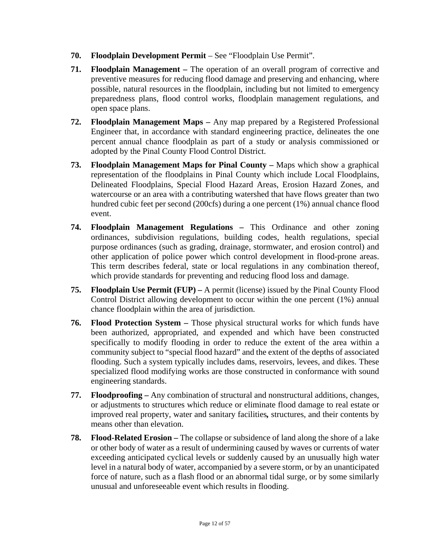- **70. Floodplain Development Permit** See "Floodplain Use Permit".
- **71. Floodplain Management** The operation of an overall program of corrective and preventive measures for reducing flood damage and preserving and enhancing, where possible, natural resources in the floodplain, including but not limited to emergency preparedness plans, flood control works, floodplain management regulations, and open space plans.
- **72. Floodplain Management Maps** Any map prepared by a Registered Professional Engineer that, in accordance with standard engineering practice, delineates the one percent annual chance floodplain as part of a study or analysis commissioned or adopted by the Pinal County Flood Control District.
- **73. Floodplain Management Maps for Pinal County** Maps which show a graphical representation of the floodplains in Pinal County which include Local Floodplains, Delineated Floodplains, Special Flood Hazard Areas, Erosion Hazard Zones, and watercourse or an area with a contributing watershed that have flows greater than two hundred cubic feet per second (200cfs) during a one percent (1%) annual chance flood event.
- **74. Floodplain Management Regulations** This Ordinance and other zoning ordinances, subdivision regulations, building codes, health regulations, special purpose ordinances (such as grading, drainage, stormwater, and erosion control) and other application of police power which control development in flood-prone areas. This term describes federal, state or local regulations in any combination thereof, which provide standards for preventing and reducing flood loss and damage.
- **75. Floodplain Use Permit (FUP)** A permit (license) issued by the Pinal County Flood Control District allowing development to occur within the one percent (1%) annual chance floodplain within the area of jurisdiction.
- **76. Flood Protection System** Those physical structural works for which funds have been authorized, appropriated, and expended and which have been constructed specifically to modify flooding in order to reduce the extent of the area within a community subject to "special flood hazard" and the extent of the depths of associated flooding. Such a system typically includes dams, reservoirs, levees, and dikes. These specialized flood modifying works are those constructed in conformance with sound engineering standards.
- **77. Floodproofing** Any combination of structural and nonstructural additions, changes, or adjustments to structures which reduce or eliminate flood damage to real estate or improved real property, water and sanitary facilities*,* structures, and their contents by means other than elevation.
- **78. Flood-Related Erosion** The collapse or subsidence of land along the shore of a lake or other body of water as a result of undermining caused by waves or currents of water exceeding anticipated cyclical levels or suddenly caused by an unusually high water level in a natural body of water, accompanied by a severe storm, or by an unanticipated force of nature, such as a flash flood or an abnormal tidal surge, or by some similarly unusual and unforeseeable event which results in flooding.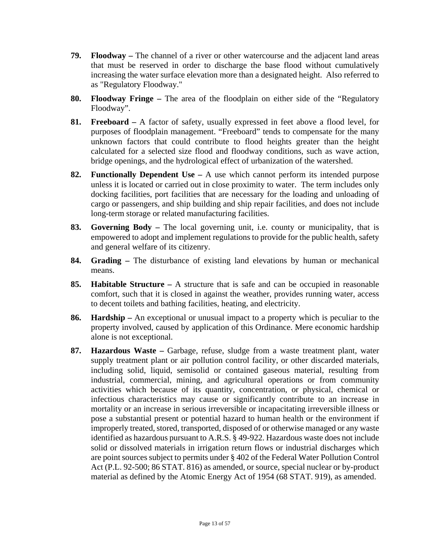- **79. Floodway** The channel of a river or other watercourse and the adjacent land areas that must be reserved in order to discharge the base flood without cumulatively increasing the water surface elevation more than a designated height. Also referred to as "Regulatory Floodway."
- **80. Floodway Fringe** The area of the floodplain on either side of the "Regulatory Floodway".
- **81. Freeboard** A factor of safety, usually expressed in feet above a flood level, for purposes of floodplain management. "Freeboard" tends to compensate for the many unknown factors that could contribute to flood heights greater than the height calculated for a selected size flood and floodway conditions, such as wave action, bridge openings, and the hydrological effect of urbanization of the watershed.
- **82. Functionally Dependent Use** A use which cannot perform its intended purpose unless it is located or carried out in close proximity to water. The term includes only docking facilities, port facilities that are necessary for the loading and unloading of cargo or passengers, and ship building and ship repair facilities, and does not include long-term storage or related manufacturing facilities.
- **83. Governing Body** The local governing unit, i.e. county or municipality, that is empowered to adopt and implement regulations to provide for the public health, safety and general welfare of its citizenry.
- **84. Grading** The disturbance of existing land elevations by human or mechanical means.
- **85. Habitable Structure** A structure that is safe and can be occupied in reasonable comfort, such that it is closed in against the weather, provides running water, access to decent toilets and bathing facilities, heating, and electricity.
- **86. Hardship** An exceptional or unusual impact to a property which is peculiar to the property involved, caused by application of this Ordinance. Mere economic hardship alone is not exceptional.
- **87. Hazardous Waste** Garbage, refuse, sludge from a waste treatment plant, water supply treatment plant or air pollution control facility, or other discarded materials, including solid, liquid, semisolid or contained gaseous material, resulting from industrial, commercial, mining, and agricultural operations or from community activities which because of its quantity, concentration, or physical, chemical or infectious characteristics may cause or significantly contribute to an increase in mortality or an increase in serious irreversible or incapacitating irreversible illness or pose a substantial present or potential hazard to human health or the environment if improperly treated, stored, transported, disposed of or otherwise managed or any waste identified as hazardous pursuant to A.R.S. § 49-922. Hazardous waste does not include solid or dissolved materials in irrigation return flows or industrial discharges which are point sources subject to permits under § 402 of the Federal Water Pollution Control Act (P.L. 92-500; 86 STAT. 816) as amended, or source, special nuclear or by-product material as defined by the Atomic Energy Act of 1954 (68 STAT. 919), as amended.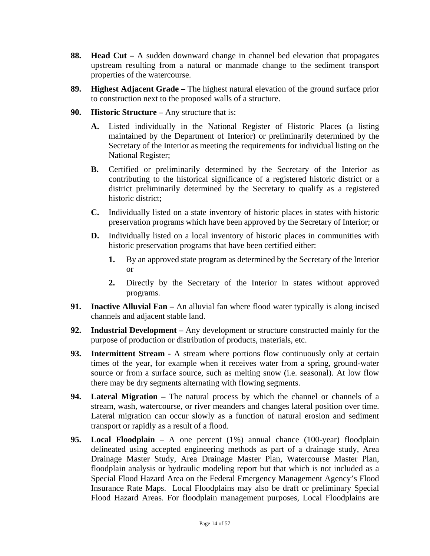- **88. Head Cut** A sudden downward change in channel bed elevation that propagates upstream resulting from a natural or manmade change to the sediment transport properties of the watercourse.
- **89. Highest Adjacent Grade** The highest natural elevation of the ground surface prior to construction next to the proposed walls of a structure.
- **90. Historic Structure** Any structure that is:
	- **A.** Listed individually in the National Register of Historic Places (a listing maintained by the Department of Interior) or preliminarily determined by the Secretary of the Interior as meeting the requirements for individual listing on the National Register;
	- **B.** Certified or preliminarily determined by the Secretary of the Interior as contributing to the historical significance of a registered historic district or a district preliminarily determined by the Secretary to qualify as a registered historic district;
	- **C.** Individually listed on a state inventory of historic places in states with historic preservation programs which have been approved by the Secretary of Interior; or
	- **D.** Individually listed on a local inventory of historic places in communities with historic preservation programs that have been certified either:
		- **1.** By an approved state program as determined by the Secretary of the Interior or
		- **2.** Directly by the Secretary of the Interior in states without approved programs.
- **91. Inactive Alluvial Fan** An alluvial fan where flood water typically is along incised channels and adjacent stable land.
- **92. Industrial Development –** Any development or structure constructed mainly for the purpose of production or distribution of products, materials, etc.
- **93. Intermittent Stream** A stream where portions flow continuously only at certain times of the year, for example when it receives water from a spring, ground-water source or from a surface source, such as melting snow (i.e. seasonal). At low flow there may be dry segments alternating with flowing segments.
- **94. Lateral Migration** The natural process by which the channel or channels of a stream, wash, watercourse, or river meanders and changes lateral position over time. Lateral migration can occur slowly as a function of natural erosion and sediment transport or rapidly as a result of a flood.
- **95. Local Floodplain** A one percent (1%) annual chance (100-year) floodplain delineated using accepted engineering methods as part of a drainage study, Area Drainage Master Study, Area Drainage Master Plan, Watercourse Master Plan, floodplain analysis or hydraulic modeling report but that which is not included as a Special Flood Hazard Area on the Federal Emergency Management Agency's Flood Insurance Rate Maps. Local Floodplains may also be draft or preliminary Special Flood Hazard Areas. For floodplain management purposes, Local Floodplains are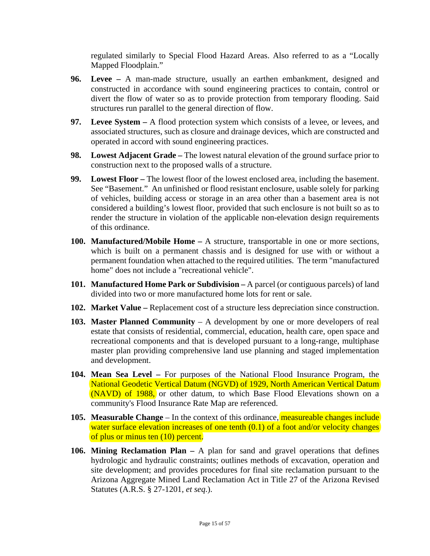regulated similarly to Special Flood Hazard Areas. Also referred to as a "Locally Mapped Floodplain."

- **96. Levee** A man-made structure, usually an earthen embankment, designed and constructed in accordance with sound engineering practices to contain, control or divert the flow of water so as to provide protection from temporary flooding. Said structures run parallel to the general direction of flow.
- **97. Levee System** A flood protection system which consists of a levee, or levees, and associated structures, such as closure and drainage devices, which are constructed and operated in accord with sound engineering practices.
- **98. Lowest Adjacent Grade** The lowest natural elevation of the ground surface prior to construction next to the proposed walls of a structure.
- **99. Lowest Floor** The lowest floor of the lowest enclosed area, including the basement. See "Basement." An unfinished or flood resistant enclosure, usable solely for parking of vehicles, building access or storage in an area other than a basement area is not considered a building's lowest floor, provided that such enclosure is not built so as to render the structure in violation of the applicable non-elevation design requirements of this ordinance.
- **100. Manufactured/Mobile Home** A structure, transportable in one or more sections, which is built on a permanent chassis and is designed for use with or without a permanent foundation when attached to the required utilities. The term "manufactured home" does not include a "recreational vehicle".
- **101. Manufactured Home Park or Subdivision** A parcel (or contiguous parcels) of land divided into two or more manufactured home lots for rent or sale.
- **102. Market Value** Replacement cost of a structure less depreciation since construction.
- **103. Master Planned Community** A development by one or more developers of real estate that consists of residential, commercial, education, health care, open space and recreational components and that is developed pursuant to a long-range, multiphase master plan providing comprehensive land use planning and staged implementation and development.
- **104. Mean Sea Level** For purposes of the National Flood Insurance Program, the National Geodetic Vertical Datum (NGVD) of 1929, North American Vertical Datum (NAVD) of 1988, or other datum, to which Base Flood Elevations shown on a community's Flood Insurance Rate Map are referenced.
- **105. Measurable Change** In the context of this ordinance, measureable changes include water surface elevation increases of one tenth (0.1) of a foot and/or velocity changes of plus or minus ten (10) percent.
- **106. Mining Reclamation Plan** A plan for sand and gravel operations that defines hydrologic and hydraulic constraints; outlines methods of excavation, operation and site development; and provides procedures for final site reclamation pursuant to the Arizona Aggregate Mined Land Reclamation Act in Title 27 of the Arizona Revised Statutes (A.R.S. § 27-1201, *et seq*.).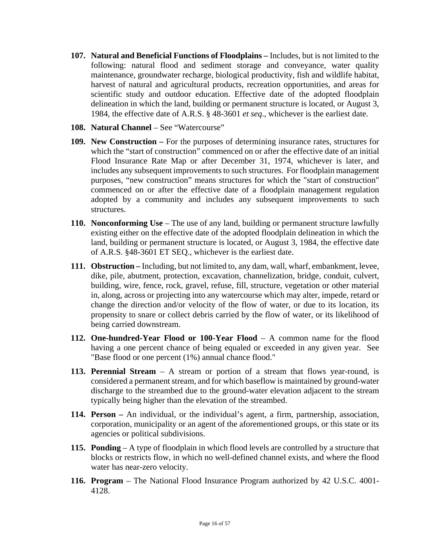- **107. Natural and Beneficial Functions of Floodplains** Includes, but is not limited to the following: natural flood and sediment storage and conveyance, water quality maintenance, groundwater recharge, biological productivity, fish and wildlife habitat, harvest of natural and agricultural products, recreation opportunities, and areas for scientific study and outdoor education. Effective date of the adopted floodplain delineation in which the land, building or permanent structure is located, or August 3, 1984, the effective date of A.R.S. § 48-3601 *et seq*., whichever is the earliest date.
- **108. Natural Channel** See "Watercourse"
- **109. New Construction** For the purposes of determining insurance rates, structures for which the "start of construction" commenced on or after the effective date of an initial Flood Insurance Rate Map or after December 31, 1974, whichever is later, and includes any subsequent improvements to such structures. For floodplain management purposes, "new construction" means structures for which the "start of construction" commenced on or after the effective date of a floodplain management regulation adopted by a community and includes any subsequent improvements to such structures.
- **110. Nonconforming Use** The use of any land, building or permanent structure lawfully existing either on the effective date of the adopted floodplain delineation in which the land, building or permanent structure is located, or August 3, 1984, the effective date of A.R.S. §48-3601 ET SEQ., whichever is the earliest date.
- **111. Obstruction** Including, but not limited to, any dam, wall, wharf, embankment, levee, dike, pile, abutment, protection, excavation, channelization, bridge, conduit, culvert, building, wire, fence, rock, gravel, refuse, fill, structure, vegetation or other material in, along, across or projecting into any watercourse which may alter, impede, retard or change the direction and/or velocity of the flow of water, or due to its location, its propensity to snare or collect debris carried by the flow of water, or its likelihood of being carried downstream.
- **112. One-hundred-Year Flood or 100-Year Flood** A common name for the flood having a one percent chance of being equaled or exceeded in any given year. See "Base flood or one percent (1%) annual chance flood."
- **113. Perennial Stream**  A stream or portion of a stream that flows year-round, is considered a permanent stream, and for which baseflow is maintained by ground-water discharge to the streambed due to the ground-water elevation adjacent to the stream typically being higher than the elevation of the streambed.
- **114. Person** An individual, or the individual's agent, a firm, partnership, association, corporation, municipality or an agent of the aforementioned groups, or this state or its agencies or political subdivisions.
- **115. Ponding** A type of floodplain in which flood levels are controlled by a structure that blocks or restricts flow, in which no well-defined channel exists, and where the flood water has near-zero velocity.
- **116. Program**  The National Flood Insurance Program authorized by 42 U.S.C. 4001- 4128.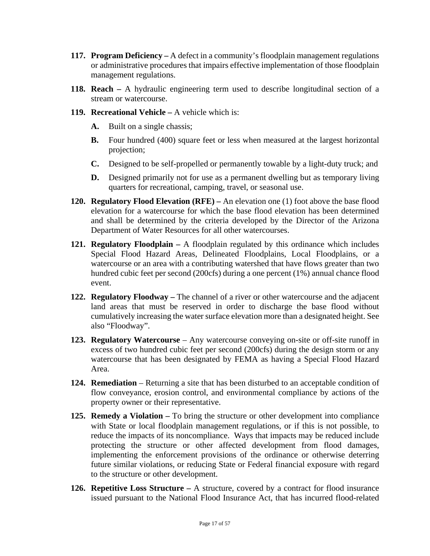- **117. Program Deficiency** A defect in a community's floodplain management regulations or administrative procedures that impairs effective implementation of those floodplain management regulations.
- **118. Reach** A hydraulic engineering term used to describe longitudinal section of a stream or watercourse.
- **119. Recreational Vehicle** A vehicle which is:
	- **A.** Built on a single chassis;
	- **B.** Four hundred (400) square feet or less when measured at the largest horizontal projection;
	- **C.** Designed to be self-propelled or permanently towable by a light-duty truck; and
	- **D.** Designed primarily not for use as a permanent dwelling but as temporary living quarters for recreational, camping, travel, or seasonal use.
- **120. Regulatory Flood Elevation (RFE)** An elevation one (1) foot above the base flood elevation for a watercourse for which the base flood elevation has been determined and shall be determined by the criteria developed by the Director of the Arizona Department of Water Resources for all other watercourses.
- **121. Regulatory Floodplain –** A floodplain regulated by this ordinance which includes Special Flood Hazard Areas, Delineated Floodplains, Local Floodplains, or a watercourse or an area with a contributing watershed that have flows greater than two hundred cubic feet per second (200cfs) during a one percent (1%) annual chance flood event.
- **122. Regulatory Floodway** The channel of a river or other watercourse and the adjacent land areas that must be reserved in order to discharge the base flood without cumulatively increasing the water surface elevation more than a designated height. See also "Floodway".
- **123. Regulatory Watercourse**  Any watercourse conveying on-site or off-site runoff in excess of two hundred cubic feet per second (200cfs) during the design storm or any watercourse that has been designated by FEMA as having a Special Flood Hazard Area.
- **124. Remediation** Returning a site that has been disturbed to an acceptable condition of flow conveyance, erosion control, and environmental compliance by actions of the property owner or their representative.
- **125. Remedy a Violation** To bring the structure or other development into compliance with State or local floodplain management regulations, or if this is not possible, to reduce the impacts of its noncompliance. Ways that impacts may be reduced include protecting the structure or other affected development from flood damages, implementing the enforcement provisions of the ordinance or otherwise deterring future similar violations, or reducing State or Federal financial exposure with regard to the structure or other development.
- **126. Repetitive Loss Structure** A structure, covered by a contract for flood insurance issued pursuant to the National Flood Insurance Act, that has incurred flood-related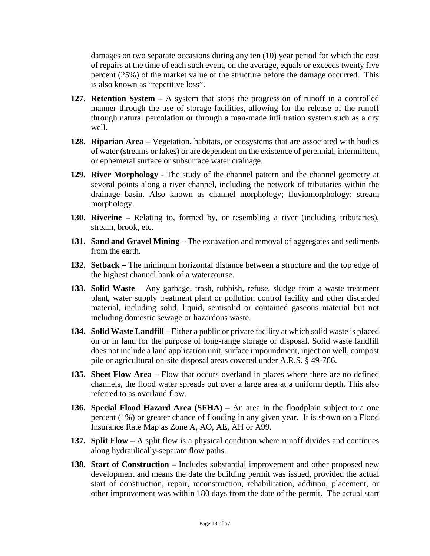damages on two separate occasions during any ten (10) year period for which the cost of repairs at the time of each such event, on the average, equals or exceeds twenty five percent (25%) of the market value of the structure before the damage occurred. This is also known as "repetitive loss".

- **127. Retention System** A system that stops the progression of runoff in a controlled manner through the use of storage facilities, allowing for the release of the runoff through natural percolation or through a man-made infiltration system such as a dry well.
- **128. Riparian Area** Vegetation, habitats, or ecosystems that are associated with bodies of water (streams or lakes) or are dependent on the existence of perennial, intermittent, or ephemeral surface or subsurface water drainage.
- **129. River Morphology** The study of the channel pattern and the channel geometry at several points along a river channel, including the network of tributaries within the drainage basin. Also known as channel morphology; fluviomorphology; stream morphology.
- **130. Riverine** Relating to, formed by, or resembling a river (including tributaries), stream, brook, etc.
- **131. Sand and Gravel Mining** The excavation and removal of aggregates and sediments from the earth.
- **132. Setback** The minimum horizontal distance between a structure and the top edge of the highest channel bank of a watercourse.
- **133. Solid Waste**  Any garbage, trash, rubbish, refuse, sludge from a waste treatment plant, water supply treatment plant or pollution control facility and other discarded material, including solid, liquid, semisolid or contained gaseous material but not including domestic sewage or hazardous waste.
- **134. Solid Waste Landfill** Either a public or private facility at which solid waste is placed on or in land for the purpose of long-range storage or disposal. Solid waste landfill does not include a land application unit, surface impoundment, injection well, compost pile or agricultural on-site disposal areas covered under A.R.S. § 49-766.
- **135. Sheet Flow Area** Flow that occurs overland in places where there are no defined channels, the flood water spreads out over a large area at a uniform depth. This also referred to as overland flow.
- **136. Special Flood Hazard Area (SFHA)** An area in the floodplain subject to a one percent (1%) or greater chance of flooding in any given year. It is shown on a Flood Insurance Rate Map as Zone A, AO, AE, AH or A99.
- **137. Split Flow** A split flow is a physical condition where runoff divides and continues along hydraulically-separate flow paths.
- **138. Start of Construction** Includes substantial improvement and other proposed new development and means the date the building permit was issued, provided the actual start of construction, repair, reconstruction, rehabilitation, addition, placement, or other improvement was within 180 days from the date of the permit. The actual start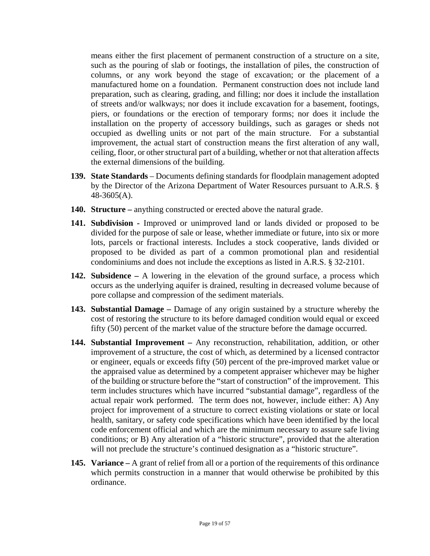means either the first placement of permanent construction of a structure on a site, such as the pouring of slab or footings, the installation of piles, the construction of columns, or any work beyond the stage of excavation; or the placement of a manufactured home on a foundation. Permanent construction does not include land preparation, such as clearing, grading, and filling; nor does it include the installation of streets and/or walkways; nor does it include excavation for a basement, footings, piers, or foundations or the erection of temporary forms; nor does it include the installation on the property of accessory buildings, such as garages or sheds not occupied as dwelling units or not part of the main structure. For a substantial improvement, the actual start of construction means the first alteration of any wall, ceiling, floor, or other structural part of a building, whether or not that alteration affects the external dimensions of the building.

- **139. State Standards** Documents defining standards for floodplain management adopted by the Director of the Arizona Department of Water Resources pursuant to A.R.S. § 48-3605(A).
- **140. Structure** anything constructed or erected above the natural grade.
- **141. Subdivision** Improved or unimproved land or lands divided or proposed to be divided for the purpose of sale or lease, whether immediate or future, into six or more lots, parcels or fractional interests. Includes a stock cooperative, lands divided or proposed to be divided as part of a common promotional plan and residential condominiums and does not include the exceptions as listed in A.R.S. § 32-2101.
- **142. Subsidence** A lowering in the elevation of the ground surface, a process which occurs as the underlying aquifer is drained, resulting in decreased volume because of pore collapse and compression of the sediment materials.
- **143. Substantial Damage** Damage of any origin sustained by a structure whereby the cost of restoring the structure to its before damaged condition would equal or exceed fifty (50) percent of the market value of the structure before the damage occurred.
- **144. Substantial Improvement** Any reconstruction, rehabilitation, addition, or other improvement of a structure, the cost of which, as determined by a licensed contractor or engineer, equals or exceeds fifty (50) percent of the pre-improved market value or the appraised value as determined by a competent appraiser whichever may be higher of the building or structure before the "start of construction" of the improvement. This term includes structures which have incurred "substantial damage", regardless of the actual repair work performed. The term does not, however, include either: A) Any project for improvement of a structure to correct existing violations or state or local health, sanitary, or safety code specifications which have been identified by the local code enforcement official and which are the minimum necessary to assure safe living conditions; or B) Any alteration of a "historic structure", provided that the alteration will not preclude the structure's continued designation as a "historic structure".
- **145. Variance** A grant of relief from all or a portion of the requirements of this ordinance which permits construction in a manner that would otherwise be prohibited by this ordinance.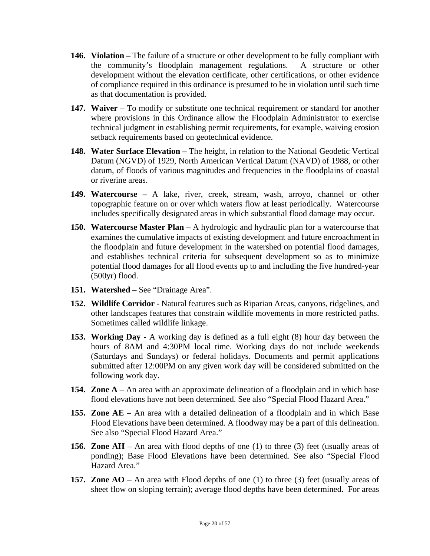- **146. Violation** The failure of a structure or other development to be fully compliant with the community's floodplain management regulations. A structure or other development without the elevation certificate, other certifications, or other evidence of compliance required in this ordinance is presumed to be in violation until such time as that documentation is provided.
- 147. Waiver To modify or substitute one technical requirement or standard for another where provisions in this Ordinance allow the Floodplain Administrator to exercise technical judgment in establishing permit requirements, for example, waiving erosion setback requirements based on geotechnical evidence.
- **148. Water Surface Elevation** The height, in relation to the National Geodetic Vertical Datum (NGVD) of 1929, North American Vertical Datum (NAVD) of 1988, or other datum, of floods of various magnitudes and frequencies in the floodplains of coastal or riverine areas.
- **149. Watercourse** A lake, river, creek, stream, wash, arroyo, channel or other topographic feature on or over which waters flow at least periodically. Watercourse includes specifically designated areas in which substantial flood damage may occur.
- **150. Watercourse Master Plan** A hydrologic and hydraulic plan for a watercourse that examines the cumulative impacts of existing development and future encroachment in the floodplain and future development in the watershed on potential flood damages, and establishes technical criteria for subsequent development so as to minimize potential flood damages for all flood events up to and including the five hundred-year (500yr) flood.
- **151. Watershed** See "Drainage Area".
- **152. Wildlife Corridor** Natural features such as Riparian Areas, canyons, ridgelines, and other landscapes features that constrain wildlife movements in more restricted paths. Sometimes called wildlife linkage.
- **153. Working Day**  A working day is defined as a full eight (8) hour day between the hours of 8AM and 4:30PM local time. Working days do not include weekends (Saturdays and Sundays) or federal holidays. Documents and permit applications submitted after 12:00PM on any given work day will be considered submitted on the following work day.
- **154. Zone A**  An area with an approximate delineation of a floodplain and in which base flood elevations have not been determined. See also "Special Flood Hazard Area."
- **155. Zone AE**  An area with a detailed delineation of a floodplain and in which Base Flood Elevations have been determined. A floodway may be a part of this delineation. See also "Special Flood Hazard Area."
- **156. Zone AH**  An area with flood depths of one (1) to three (3) feet (usually areas of ponding); Base Flood Elevations have been determined. See also "Special Flood Hazard Area."
- **157. Zone AO**  An area with Flood depths of one (1) to three (3) feet (usually areas of sheet flow on sloping terrain); average flood depths have been determined. For areas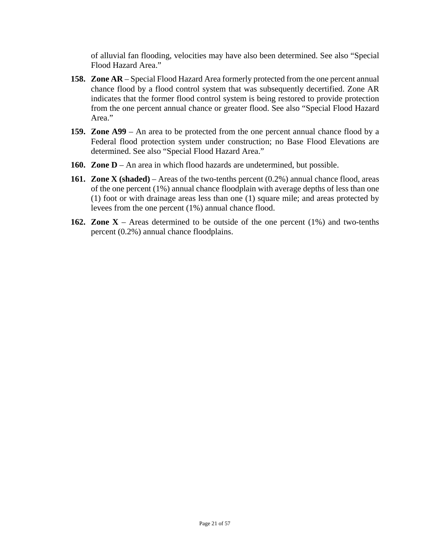of alluvial fan flooding, velocities may have also been determined. See also "Special Flood Hazard Area."

- **158. Zone AR**  Special Flood Hazard Area formerly protected from the one percent annual chance flood by a flood control system that was subsequently decertified. Zone AR indicates that the former flood control system is being restored to provide protection from the one percent annual chance or greater flood. See also "Special Flood Hazard Area."
- **159. Zone A99**  An area to be protected from the one percent annual chance flood by a Federal flood protection system under construction; no Base Flood Elevations are determined. See also "Special Flood Hazard Area."
- **160. Zone D**  An area in which flood hazards are undetermined, but possible.
- **161. Zone X (shaded)**  Areas of the two-tenths percent (0.2%) annual chance flood, areas of the one percent (1%) annual chance floodplain with average depths of less than one (1) foot or with drainage areas less than one (1) square mile; and areas protected by levees from the one percent (1%) annual chance flood.
- **162. Zone X**  Areas determined to be outside of the one percent (1%) and two-tenths percent (0.2%) annual chance floodplains.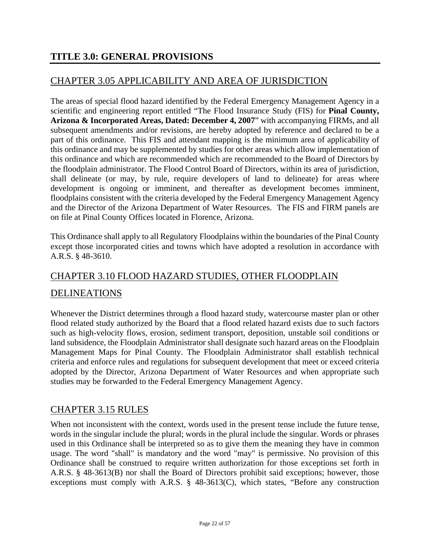# CHAPTER 3.05 APPLICABILITY AND AREA OF JURISDICTION

The areas of special flood hazard identified by the Federal Emergency Management Agency in a scientific and engineering report entitled "The Flood Insurance Study (FIS) for **Pinal County, Arizona & Incorporated Areas, Dated: December 4, 2007**" with accompanying FIRMs, and all subsequent amendments and/or revisions, are hereby adopted by reference and declared to be a part of this ordinance. This FIS and attendant mapping is the minimum area of applicability of this ordinance and may be supplemented by studies for other areas which allow implementation of this ordinance and which are recommended which are recommended to the Board of Directors by the floodplain administrator. The Flood Control Board of Directors, within its area of jurisdiction, shall delineate (or may, by rule, require developers of land to delineate) for areas where development is ongoing or imminent, and thereafter as development becomes imminent, floodplains consistent with the criteria developed by the Federal Emergency Management Agency and the Director of the Arizona Department of Water Resources.The FIS and FIRM panels are on file at Pinal County Offices located in Florence, Arizona.

This Ordinance shall apply to all Regulatory Floodplains within the boundaries of the Pinal County except those incorporated cities and towns which have adopted a resolution in accordance with A.R.S. § 48-3610.

# CHAPTER 3.10 FLOOD HAZARD STUDIES, OTHER FLOODPLAIN DELINEATIONS

Whenever the District determines through a flood hazard study, watercourse master plan or other flood related study authorized by the Board that a flood related hazard exists due to such factors such as high-velocity flows, erosion, sediment transport, deposition, unstable soil conditions or land subsidence, the Floodplain Administrator shall designate such hazard areas on the Floodplain Management Maps for Pinal County. The Floodplain Administrator shall establish technical criteria and enforce rules and regulations for subsequent development that meet or exceed criteria adopted by the Director, Arizona Department of Water Resources and when appropriate such studies may be forwarded to the Federal Emergency Management Agency.

#### CHAPTER 3.15 RULES

When not inconsistent with the context, words used in the present tense include the future tense, words in the singular include the plural; words in the plural include the singular. Words or phrases used in this Ordinance shall be interpreted so as to give them the meaning they have in common usage. The word "shall" is mandatory and the word "may" is permissive. No provision of this Ordinance shall be construed to require written authorization for those exceptions set forth in A.R.S. § 48-3613(B) nor shall the Board of Directors prohibit said exceptions; however, those exceptions must comply with A.R.S. § 48-3613(C), which states, "Before any construction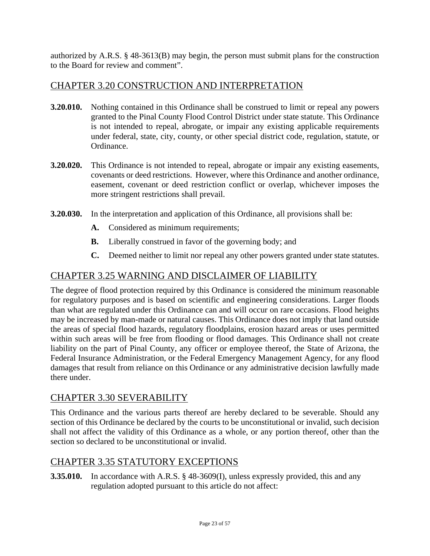authorized by A.R.S. § 48-3613(B) may begin, the person must submit plans for the construction to the Board for review and comment".

#### CHAPTER 3.20 CONSTRUCTION AND INTERPRETATION

- **3.20.010.** Nothing contained in this Ordinance shall be construed to limit or repeal any powers granted to the Pinal County Flood Control District under state statute. This Ordinance is not intended to repeal, abrogate, or impair any existing applicable requirements under federal, state, city, county, or other special district code, regulation, statute, or Ordinance.
- **3.20.020.** This Ordinance is not intended to repeal, abrogate or impair any existing easements, covenants or deed restrictions. However, where this Ordinance and another ordinance, easement, covenant or deed restriction conflict or overlap, whichever imposes the more stringent restrictions shall prevail.
- **3.20.030.** In the interpretation and application of this Ordinance, all provisions shall be:
	- **A.** Considered as minimum requirements;
	- **B.** Liberally construed in favor of the governing body; and
	- **C.** Deemed neither to limit nor repeal any other powers granted under state statutes.

#### CHAPTER 3.25 WARNING AND DISCLAIMER OF LIABILITY

The degree of flood protection required by this Ordinance is considered the minimum reasonable for regulatory purposes and is based on scientific and engineering considerations. Larger floods than what are regulated under this Ordinance can and will occur on rare occasions. Flood heights may be increased by man-made or natural causes. This Ordinance does not imply that land outside the areas of special flood hazards, regulatory floodplains, erosion hazard areas or uses permitted within such areas will be free from flooding or flood damages. This Ordinance shall not create liability on the part of Pinal County, any officer or employee thereof, the State of Arizona, the Federal Insurance Administration, or the Federal Emergency Management Agency, for any flood damages that result from reliance on this Ordinance or any administrative decision lawfully made there under.

#### CHAPTER 3.30 SEVERABILITY

This Ordinance and the various parts thereof are hereby declared to be severable. Should any section of this Ordinance be declared by the courts to be unconstitutional or invalid, such decision shall not affect the validity of this Ordinance as a whole, or any portion thereof, other than the section so declared to be unconstitutional or invalid.

#### CHAPTER 3.35 STATUTORY EXCEPTIONS

**3.35.010.** In accordance with A.R.S. § 48-3609(I), unless expressly provided, this and any regulation adopted pursuant to this article do not affect: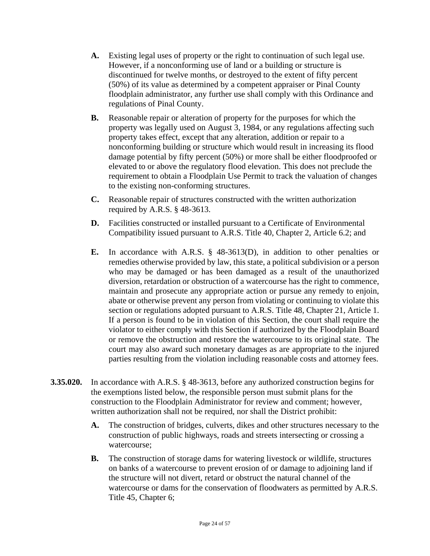- **A.** Existing legal uses of property or the right to continuation of such legal use. However, if a nonconforming use of land or a building or structure is discontinued for twelve months, or destroyed to the extent of fifty percent (50%) of its value as determined by a competent appraiser or Pinal County floodplain administrator, any further use shall comply with this Ordinance and regulations of Pinal County.
- **B.** Reasonable repair or alteration of property for the purposes for which the property was legally used on August 3, 1984, or any regulations affecting such property takes effect, except that any alteration, addition or repair to a nonconforming building or structure which would result in increasing its flood damage potential by fifty percent (50%) or more shall be either floodproofed or elevated to or above the regulatory flood elevation. This does not preclude the requirement to obtain a Floodplain Use Permit to track the valuation of changes to the existing non-conforming structures.
- **C.** Reasonable repair of structures constructed with the written authorization required by A.R.S. § 48-3613.
- **D.** Facilities constructed or installed pursuant to a Certificate of Environmental Compatibility issued pursuant to A.R.S. Title 40, Chapter 2, Article 6.2; and
- **E.** In accordance with A.R.S. § 48-3613(D), in addition to other penalties or remedies otherwise provided by law, this state, a political subdivision or a person who may be damaged or has been damaged as a result of the unauthorized diversion, retardation or obstruction of a watercourse has the right to commence, maintain and prosecute any appropriate action or pursue any remedy to enjoin, abate or otherwise prevent any person from violating or continuing to violate this section or regulations adopted pursuant to A.R.S. Title 48, Chapter 21, Article 1. If a person is found to be in violation of this Section, the court shall require the violator to either comply with this Section if authorized by the Floodplain Board or remove the obstruction and restore the watercourse to its original state. The court may also award such monetary damages as are appropriate to the injured parties resulting from the violation including reasonable costs and attorney fees.
- **3.35.020.** In accordance with A.R.S. § 48-3613, before any authorized construction begins for the exemptions listed below, the responsible person must submit plans for the construction to the Floodplain Administrator for review and comment; however, written authorization shall not be required, nor shall the District prohibit:
	- **A.** The construction of bridges, culverts, dikes and other structures necessary to the construction of public highways, roads and streets intersecting or crossing a watercourse;
	- **B.** The construction of storage dams for watering livestock or wildlife, structures on banks of a watercourse to prevent erosion of or damage to adjoining land if the structure will not divert, retard or obstruct the natural channel of the watercourse or dams for the conservation of floodwaters as permitted by A.R.S. Title 45, Chapter 6;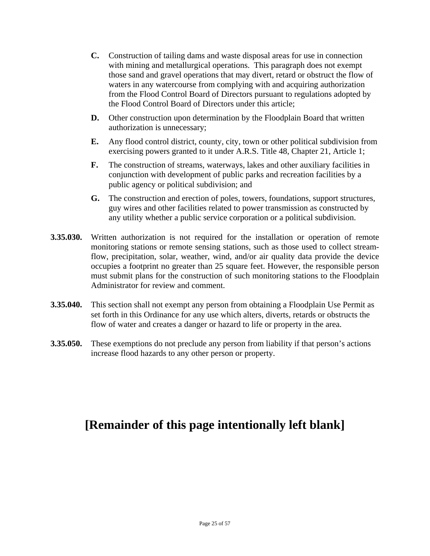- **C.** Construction of tailing dams and waste disposal areas for use in connection with mining and metallurgical operations. This paragraph does not exempt those sand and gravel operations that may divert, retard or obstruct the flow of waters in any watercourse from complying with and acquiring authorization from the Flood Control Board of Directors pursuant to regulations adopted by the Flood Control Board of Directors under this article;
- **D.** Other construction upon determination by the Floodplain Board that written authorization is unnecessary;
- **E.** Any flood control district, county, city, town or other political subdivision from exercising powers granted to it under A.R.S. Title 48, Chapter 21, Article 1;
- **F.** The construction of streams, waterways, lakes and other auxiliary facilities in conjunction with development of public parks and recreation facilities by a public agency or political subdivision; and
- **G.** The construction and erection of poles, towers, foundations, support structures, guy wires and other facilities related to power transmission as constructed by any utility whether a public service corporation or a political subdivision.
- **3.35.030.** Written authorization is not required for the installation or operation of remote monitoring stations or remote sensing stations, such as those used to collect streamflow, precipitation, solar, weather, wind, and/or air quality data provide the device occupies a footprint no greater than 25 square feet. However, the responsible person must submit plans for the construction of such monitoring stations to the Floodplain Administrator for review and comment.
- **3.35.040.** This section shall not exempt any person from obtaining a Floodplain Use Permit as set forth in this Ordinance for any use which alters, diverts, retards or obstructs the flow of water and creates a danger or hazard to life or property in the area.
- **3.35.050.** These exemptions do not preclude any person from liability if that person's actions increase flood hazards to any other person or property.

# **[Remainder of this page intentionally left blank]**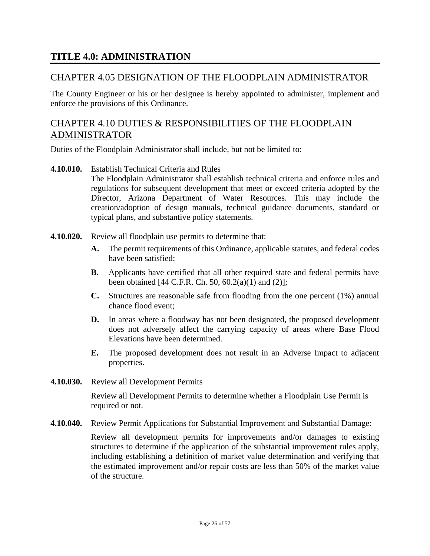#### **TITLE 4.0: ADMINISTRATION**

#### CHAPTER 4.05 DESIGNATION OF THE FLOODPLAIN ADMINISTRATOR

The County Engineer or his or her designee is hereby appointed to administer, implement and enforce the provisions of this Ordinance.

# CHAPTER 4.10 DUTIES & RESPONSIBILITIES OF THE FLOODPLAIN ADMINISTRATOR

Duties of the Floodplain Administrator shall include, but not be limited to:

**4.10.010.** Establish Technical Criteria and Rules

The Floodplain Administrator shall establish technical criteria and enforce rules and regulations for subsequent development that meet or exceed criteria adopted by the Director, Arizona Department of Water Resources. This may include the creation/adoption of design manuals, technical guidance documents, standard or typical plans, and substantive policy statements.

- **4.10.020.** Review all floodplain use permits to determine that:
	- **A.** The permit requirements of this Ordinance, applicable statutes, and federal codes have been satisfied;
	- **B.** Applicants have certified that all other required state and federal permits have been obtained  $[44 \text{ C.F.R. Ch. } 50, 60.2(a)(1) \text{ and } (2)]$ ;
	- **C.** Structures are reasonable safe from flooding from the one percent (1%) annual chance flood event;
	- **D.** In areas where a floodway has not been designated, the proposed development does not adversely affect the carrying capacity of areas where Base Flood Elevations have been determined.
	- **E.** The proposed development does not result in an Adverse Impact to adjacent properties.
- **4.10.030.** Review all Development Permits

Review all Development Permits to determine whether a Floodplain Use Permit is required or not.

**4.10.040.** Review Permit Applications for Substantial Improvement and Substantial Damage:

Review all development permits for improvements and/or damages to existing structures to determine if the application of the substantial improvement rules apply, including establishing a definition of market value determination and verifying that the estimated improvement and/or repair costs are less than 50% of the market value of the structure.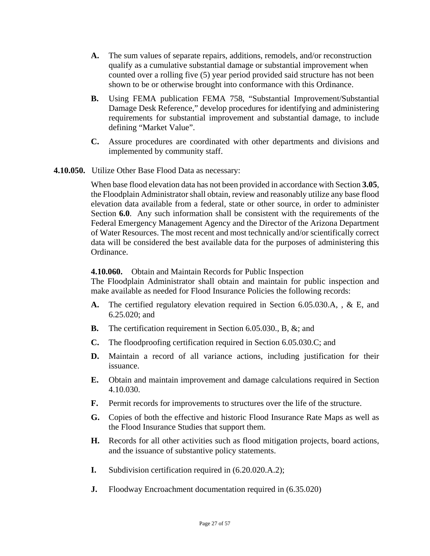- **A.** The sum values of separate repairs, additions, remodels, and/or reconstruction qualify as a cumulative substantial damage or substantial improvement when counted over a rolling five (5) year period provided said structure has not been shown to be or otherwise brought into conformance with this Ordinance.
- **B.** Using FEMA publication FEMA 758, "Substantial Improvement/Substantial Damage Desk Reference," develop procedures for identifying and administering requirements for substantial improvement and substantial damage, to include defining "Market Value".
- **C.** Assure procedures are coordinated with other departments and divisions and implemented by community staff.
- **4.10.050.** Utilize Other Base Flood Data as necessary:

When base flood elevation data has not been provided in accordance with Section **3.05**, the Floodplain Administrator shall obtain, review and reasonably utilize any base flood elevation data available from a federal, state or other source, in order to administer Section **6.0**. Any such information shall be consistent with the requirements of the Federal Emergency Management Agency and the Director of the Arizona Department of Water Resources. The most recent and most technically and/or scientifically correct data will be considered the best available data for the purposes of administering this Ordinance.

#### **4.10.060.** Obtain and Maintain Records for Public Inspection

The Floodplain Administrator shall obtain and maintain for public inspection and make available as needed for Flood Insurance Policies the following records:

- **A.** The certified regulatory elevation required in Section 6.05.030.A, , & E, and 6.25.020; and
- **B.** The certification requirement in Section 6.05.030., B, &; and
- **C.** The floodproofing certification required in Section 6.05.030.C; and
- **D.** Maintain a record of all variance actions, including justification for their issuance.
- **E.** Obtain and maintain improvement and damage calculations required in Section 4.10.030.
- **F.** Permit records for improvements to structures over the life of the structure.
- **G.** Copies of both the effective and historic Flood Insurance Rate Maps as well as the Flood Insurance Studies that support them.
- **H.** Records for all other activities such as flood mitigation projects, board actions, and the issuance of substantive policy statements.
- **I.** Subdivision certification required in (6.20.020.A.2);
- **J.** Floodway Encroachment documentation required in  $(6.35.020)$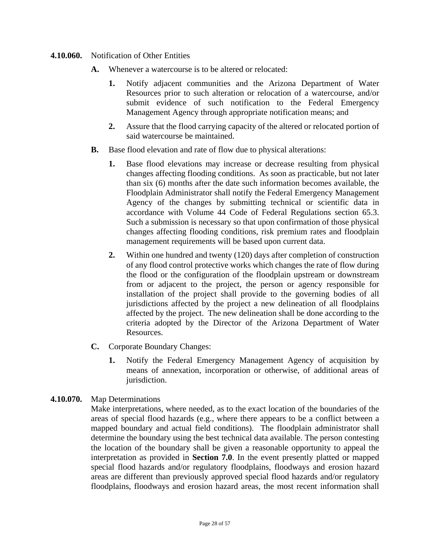#### **4.10.060.** Notification of Other Entities

- **A.** Whenever a watercourse is to be altered or relocated:
	- **1.** Notify adjacent communities and the Arizona Department of Water Resources prior to such alteration or relocation of a watercourse, and/or submit evidence of such notification to the Federal Emergency Management Agency through appropriate notification means; and
	- **2.** Assure that the flood carrying capacity of the altered or relocated portion of said watercourse be maintained.
- **B.** Base flood elevation and rate of flow due to physical alterations:
	- **1.** Base flood elevations may increase or decrease resulting from physical changes affecting flooding conditions. As soon as practicable, but not later than six (6) months after the date such information becomes available, the Floodplain Administrator shall notify the Federal Emergency Management Agency of the changes by submitting technical or scientific data in accordance with Volume 44 Code of Federal Regulations section 65.3. Such a submission is necessary so that upon confirmation of those physical changes affecting flooding conditions, risk premium rates and floodplain management requirements will be based upon current data.
	- **2.** Within one hundred and twenty (120) days after completion of construction of any flood control protective works which changes the rate of flow during the flood or the configuration of the floodplain upstream or downstream from or adjacent to the project, the person or agency responsible for installation of the project shall provide to the governing bodies of all jurisdictions affected by the project a new delineation of all floodplains affected by the project. The new delineation shall be done according to the criteria adopted by the Director of the Arizona Department of Water Resources.
- **C.** Corporate Boundary Changes:
	- **1.** Notify the Federal Emergency Management Agency of acquisition by means of annexation, incorporation or otherwise, of additional areas of jurisdiction.

#### **4.10.070.** Map Determinations

Make interpretations, where needed, as to the exact location of the boundaries of the areas of special flood hazards (e.g., where there appears to be a conflict between a mapped boundary and actual field conditions). The floodplain administrator shall determine the boundary using the best technical data available. The person contesting the location of the boundary shall be given a reasonable opportunity to appeal the interpretation as provided in **Section 7.0**. In the event presently platted or mapped special flood hazards and/or regulatory floodplains, floodways and erosion hazard areas are different than previously approved special flood hazards and/or regulatory floodplains, floodways and erosion hazard areas, the most recent information shall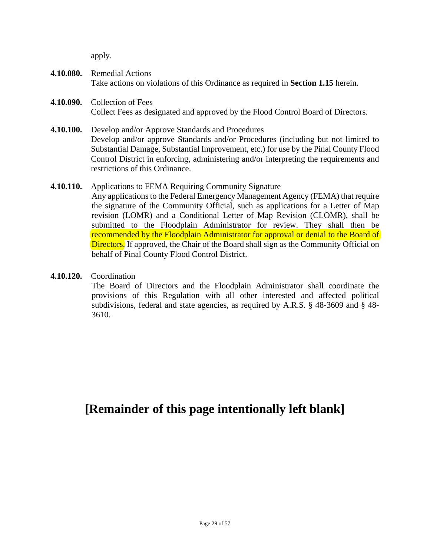apply.

- **4.10.080.** Remedial Actions Take actions on violations of this Ordinance as required in **Section 1.15** herein.
- **4.10.090.** Collection of Fees Collect Fees as designated and approved by the Flood Control Board of Directors.
- **4.10.100.** Develop and/or Approve Standards and Procedures Develop and/or approve Standards and/or Procedures (including but not limited to Substantial Damage, Substantial Improvement, etc.) for use by the Pinal County Flood Control District in enforcing, administering and/or interpreting the requirements and restrictions of this Ordinance.
- **4.10.110.** Applications to FEMA Requiring Community Signature Any applications to the Federal Emergency Management Agency (FEMA) that require the signature of the Community Official, such as applications for a Letter of Map revision (LOMR) and a Conditional Letter of Map Revision (CLOMR), shall be submitted to the Floodplain Administrator for review. They shall then be recommended by the Floodplain Administrator for approval or denial to the Board of Directors. If approved, the Chair of the Board shall sign as the Community Official on behalf of Pinal County Flood Control District.
- **4.10.120.** Coordination The Board of Directors and the Floodplain Administrator shall coordinate the provisions of this Regulation with all other interested and affected political subdivisions, federal and state agencies, as required by A.R.S. § 48-3609 and § 48- 3610.

**[Remainder of this page intentionally left blank]**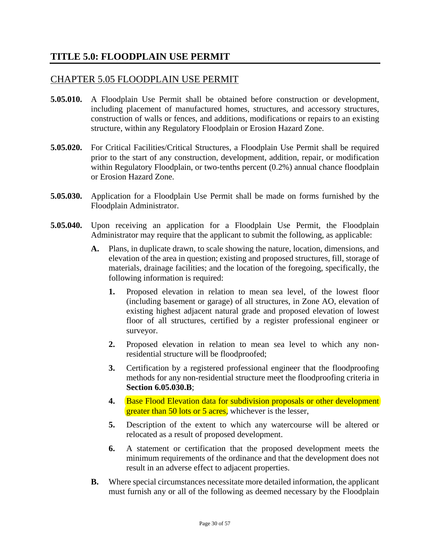#### **TITLE 5.0: FLOODPLAIN USE PERMIT**

#### CHAPTER 5.05 FLOODPLAIN USE PERMIT

- **5.05.010.** A Floodplain Use Permit shall be obtained before construction or development, including placement of manufactured homes, structures, and accessory structures, construction of walls or fences, and additions, modifications or repairs to an existing structure, within any Regulatory Floodplain or Erosion Hazard Zone.
- **5.05.020.** For Critical Facilities/Critical Structures, a Floodplain Use Permit shall be required prior to the start of any construction, development, addition, repair, or modification within Regulatory Floodplain, or two-tenths percent (0.2%) annual chance floodplain or Erosion Hazard Zone.
- **5.05.030.** Application for a Floodplain Use Permit shall be made on forms furnished by the Floodplain Administrator.
- **5.05.040.** Upon receiving an application for a Floodplain Use Permit, the Floodplain Administrator may require that the applicant to submit the following, as applicable:
	- **A.** Plans, in duplicate drawn, to scale showing the nature, location, dimensions, and elevation of the area in question; existing and proposed structures, fill, storage of materials, drainage facilities; and the location of the foregoing, specifically, the following information is required:
		- **1.** Proposed elevation in relation to mean sea level, of the lowest floor (including basement or garage) of all structures, in Zone AO, elevation of existing highest adjacent natural grade and proposed elevation of lowest floor of all structures, certified by a register professional engineer or surveyor.
		- **2.** Proposed elevation in relation to mean sea level to which any nonresidential structure will be floodproofed;
		- **3.** Certification by a registered professional engineer that the floodproofing methods for any non-residential structure meet the floodproofing criteria in **Section 6.05.030.B**;
		- **4.** Base Flood Elevation data for subdivision proposals or other development greater than 50 lots or 5 acres, whichever is the lesser,
		- **5.** Description of the extent to which any watercourse will be altered or relocated as a result of proposed development.
		- **6.** A statement or certification that the proposed development meets the minimum requirements of the ordinance and that the development does not result in an adverse effect to adjacent properties.
	- **B.** Where special circumstances necessitate more detailed information, the applicant must furnish any or all of the following as deemed necessary by the Floodplain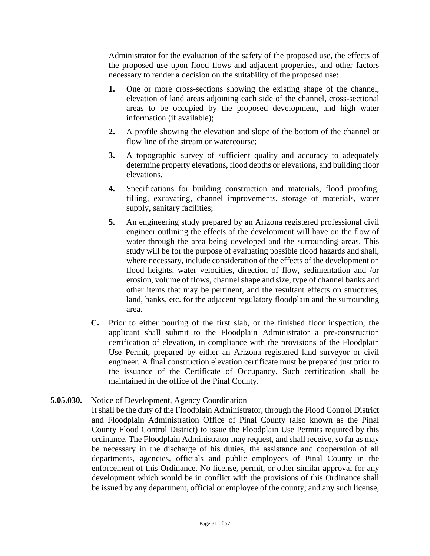Administrator for the evaluation of the safety of the proposed use, the effects of the proposed use upon flood flows and adjacent properties, and other factors necessary to render a decision on the suitability of the proposed use:

- **1.** One or more cross-sections showing the existing shape of the channel, elevation of land areas adjoining each side of the channel, cross-sectional areas to be occupied by the proposed development, and high water information (if available);
- **2.** A profile showing the elevation and slope of the bottom of the channel or flow line of the stream or watercourse;
- **3.** A topographic survey of sufficient quality and accuracy to adequately determine property elevations, flood depths or elevations, and building floor elevations.
- **4.** Specifications for building construction and materials, flood proofing, filling, excavating, channel improvements, storage of materials, water supply, sanitary facilities;
- **5.** An engineering study prepared by an Arizona registered professional civil engineer outlining the effects of the development will have on the flow of water through the area being developed and the surrounding areas. This study will be for the purpose of evaluating possible flood hazards and shall, where necessary, include consideration of the effects of the development on flood heights, water velocities, direction of flow, sedimentation and /or erosion, volume of flows, channel shape and size, type of channel banks and other items that may be pertinent, and the resultant effects on structures, land, banks, etc. for the adjacent regulatory floodplain and the surrounding area.
- **C.** Prior to either pouring of the first slab, or the finished floor inspection, the applicant shall submit to the Floodplain Administrator a pre-construction certification of elevation, in compliance with the provisions of the Floodplain Use Permit, prepared by either an Arizona registered land surveyor or civil engineer. A final construction elevation certificate must be prepared just prior to the issuance of the Certificate of Occupancy. Such certification shall be maintained in the office of the Pinal County.
- **5.05.030.** Notice of Development, Agency Coordination It shall be the duty of the Floodplain Administrator, through the Flood Control District and Floodplain Administration Office of Pinal County (also known as the Pinal County Flood Control District) to issue the Floodplain Use Permits required by this ordinance. The Floodplain Administrator may request, and shall receive, so far as may be necessary in the discharge of his duties, the assistance and cooperation of all departments, agencies, officials and public employees of Pinal County in the enforcement of this Ordinance. No license, permit, or other similar approval for any development which would be in conflict with the provisions of this Ordinance shall be issued by any department, official or employee of the county; and any such license,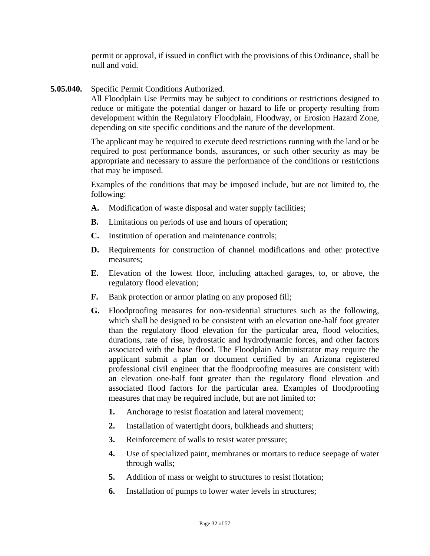permit or approval, if issued in conflict with the provisions of this Ordinance, shall be null and void.

**5.05.040.** Specific Permit Conditions Authorized.

All Floodplain Use Permits may be subject to conditions or restrictions designed to reduce or mitigate the potential danger or hazard to life or property resulting from development within the Regulatory Floodplain, Floodway, or Erosion Hazard Zone, depending on site specific conditions and the nature of the development.

The applicant may be required to execute deed restrictions running with the land or be required to post performance bonds, assurances, or such other security as may be appropriate and necessary to assure the performance of the conditions or restrictions that may be imposed.

Examples of the conditions that may be imposed include, but are not limited to, the following:

- **A.** Modification of waste disposal and water supply facilities;
- **B.** Limitations on periods of use and hours of operation;
- **C.** Institution of operation and maintenance controls;
- **D.** Requirements for construction of channel modifications and other protective measures;
- **E.** Elevation of the lowest floor, including attached garages, to, or above, the regulatory flood elevation;
- **F.** Bank protection or armor plating on any proposed fill;
- **G.** Floodproofing measures for non-residential structures such as the following, which shall be designed to be consistent with an elevation one-half foot greater than the regulatory flood elevation for the particular area, flood velocities, durations, rate of rise, hydrostatic and hydrodynamic forces, and other factors associated with the base flood. The Floodplain Administrator may require the applicant submit a plan or document certified by an Arizona registered professional civil engineer that the floodproofing measures are consistent with an elevation one-half foot greater than the regulatory flood elevation and associated flood factors for the particular area. Examples of floodproofing measures that may be required include, but are not limited to:
	- **1.** Anchorage to resist floatation and lateral movement;
	- **2.** Installation of watertight doors, bulkheads and shutters;
	- **3.** Reinforcement of walls to resist water pressure;
	- **4.** Use of specialized paint, membranes or mortars to reduce seepage of water through walls;
	- **5.** Addition of mass or weight to structures to resist flotation;
	- **6.** Installation of pumps to lower water levels in structures;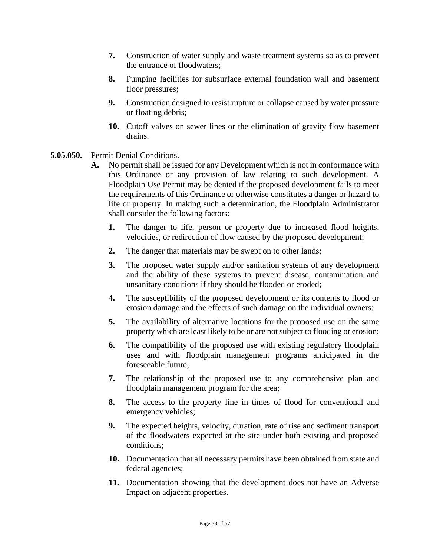- **7.** Construction of water supply and waste treatment systems so as to prevent the entrance of floodwaters;
- **8.** Pumping facilities for subsurface external foundation wall and basement floor pressures;
- **9.** Construction designed to resist rupture or collapse caused by water pressure or floating debris;
- **10.** Cutoff valves on sewer lines or the elimination of gravity flow basement drains.
- **5.05.050.** Permit Denial Conditions.
	- **A.** No permit shall be issued for any Development which is not in conformance with this Ordinance or any provision of law relating to such development. A Floodplain Use Permit may be denied if the proposed development fails to meet the requirements of this Ordinance or otherwise constitutes a danger or hazard to life or property. In making such a determination, the Floodplain Administrator shall consider the following factors:
		- **1.** The danger to life, person or property due to increased flood heights, velocities, or redirection of flow caused by the proposed development;
		- **2.** The danger that materials may be swept on to other lands;
		- **3.** The proposed water supply and/or sanitation systems of any development and the ability of these systems to prevent disease, contamination and unsanitary conditions if they should be flooded or eroded;
		- **4.** The susceptibility of the proposed development or its contents to flood or erosion damage and the effects of such damage on the individual owners;
		- **5.** The availability of alternative locations for the proposed use on the same property which are least likely to be or are not subject to flooding or erosion;
		- **6.** The compatibility of the proposed use with existing regulatory floodplain uses and with floodplain management programs anticipated in the foreseeable future;
		- **7.** The relationship of the proposed use to any comprehensive plan and floodplain management program for the area;
		- **8.** The access to the property line in times of flood for conventional and emergency vehicles;
		- **9.** The expected heights, velocity, duration, rate of rise and sediment transport of the floodwaters expected at the site under both existing and proposed conditions;
		- **10.** Documentation that all necessary permits have been obtained from state and federal agencies;
		- **11.** Documentation showing that the development does not have an Adverse Impact on adjacent properties.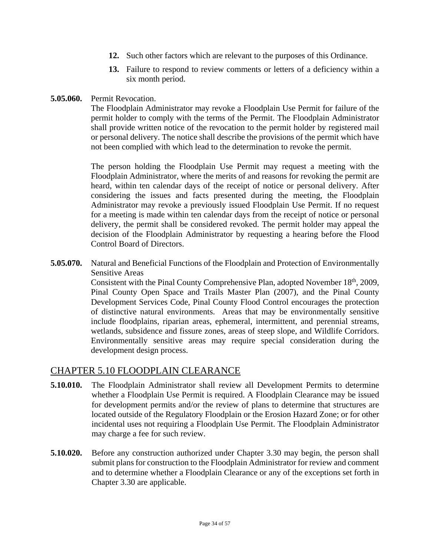- **12.** Such other factors which are relevant to the purposes of this Ordinance.
- **13.** Failure to respond to review comments or letters of a deficiency within a six month period.
- **5.05.060.** Permit Revocation.

The Floodplain Administrator may revoke a Floodplain Use Permit for failure of the permit holder to comply with the terms of the Permit. The Floodplain Administrator shall provide written notice of the revocation to the permit holder by registered mail or personal delivery. The notice shall describe the provisions of the permit which have not been complied with which lead to the determination to revoke the permit.

The person holding the Floodplain Use Permit may request a meeting with the Floodplain Administrator, where the merits of and reasons for revoking the permit are heard, within ten calendar days of the receipt of notice or personal delivery. After considering the issues and facts presented during the meeting, the Floodplain Administrator may revoke a previously issued Floodplain Use Permit. If no request for a meeting is made within ten calendar days from the receipt of notice or personal delivery, the permit shall be considered revoked. The permit holder may appeal the decision of the Floodplain Administrator by requesting a hearing before the Flood Control Board of Directors.

**5.05.070.** Natural and Beneficial Functions of the Floodplain and Protection of Environmentally Sensitive Areas

> Consistent with the Pinal County Comprehensive Plan, adopted November 18<sup>th</sup>, 2009, Pinal County Open Space and Trails Master Plan (2007), and the Pinal County Development Services Code, Pinal County Flood Control encourages the protection of distinctive natural environments. Areas that may be environmentally sensitive include floodplains, riparian areas, ephemeral, intermittent, and perennial streams, wetlands, subsidence and fissure zones, areas of steep slope, and Wildlife Corridors. Environmentally sensitive areas may require special consideration during the development design process.

#### CHAPTER 5.10 FLOODPLAIN CLEARANCE

- **5.10.010.** The Floodplain Administrator shall review all Development Permits to determine whether a Floodplain Use Permit is required. A Floodplain Clearance may be issued for development permits and/or the review of plans to determine that structures are located outside of the Regulatory Floodplain or the Erosion Hazard Zone; or for other incidental uses not requiring a Floodplain Use Permit. The Floodplain Administrator may charge a fee for such review.
- **5.10.020.** Before any construction authorized under Chapter 3.30 may begin, the person shall submit plans for construction to the Floodplain Administrator for review and comment and to determine whether a Floodplain Clearance or any of the exceptions set forth in Chapter 3.30 are applicable.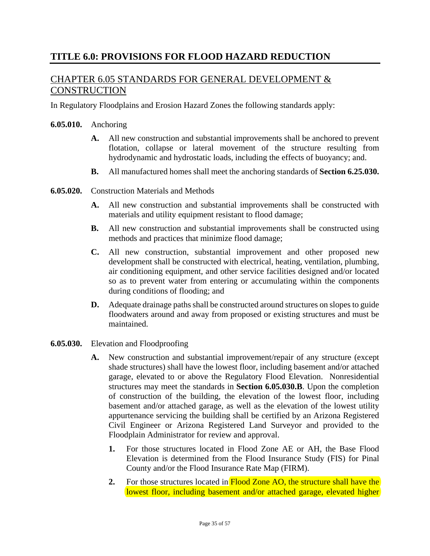# **TITLE 6.0: PROVISIONS FOR FLOOD HAZARD REDUCTION**

### CHAPTER 6.05 STANDARDS FOR GENERAL DEVELOPMENT & **CONSTRUCTION**

In Regulatory Floodplains and Erosion Hazard Zones the following standards apply:

#### **6.05.010.** Anchoring

- **A.** All new construction and substantial improvements shall be anchored to prevent flotation, collapse or lateral movement of the structure resulting from hydrodynamic and hydrostatic loads, including the effects of buoyancy; and.
- **B.** All manufactured homes shall meet the anchoring standards of **Section 6.25.030.**
- **6.05.020.** Construction Materials and Methods
	- **A.** All new construction and substantial improvements shall be constructed with materials and utility equipment resistant to flood damage;
	- **B.** All new construction and substantial improvements shall be constructed using methods and practices that minimize flood damage;
	- **C.** All new construction, substantial improvement and other proposed new development shall be constructed with electrical, heating, ventilation, plumbing, air conditioning equipment, and other service facilities designed and/or located so as to prevent water from entering or accumulating within the components during conditions of flooding; and
	- **D.** Adequate drainage paths shall be constructed around structures on slopes to guide floodwaters around and away from proposed or existing structures and must be maintained.
- **6.05.030.** Elevation and Floodproofing
	- **A.** New construction and substantial improvement/repair of any structure (except shade structures) shall have the lowest floor, including basement and/or attached garage, elevated to or above the Regulatory Flood Elevation. Nonresidential structures may meet the standards in **Section 6.05.030.B**. Upon the completion of construction of the building, the elevation of the lowest floor, including basement and/or attached garage, as well as the elevation of the lowest utility appurtenance servicing the building shall be certified by an Arizona Registered Civil Engineer or Arizona Registered Land Surveyor and provided to the Floodplain Administrator for review and approval.
		- **1.** For those structures located in Flood Zone AE or AH, the Base Flood Elevation is determined from the Flood Insurance Study (FIS) for Pinal County and/or the Flood Insurance Rate Map (FIRM).
		- **2.** For those structures located in **Flood Zone AO**, the structure shall have the lowest floor, including basement and/or attached garage, elevated higher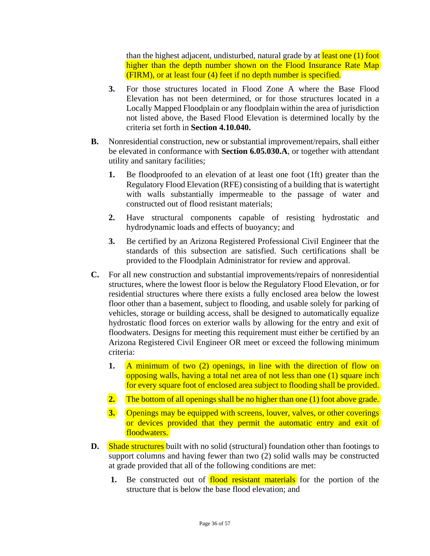than the highest adjacent, undisturbed, natural grade by at least one (1) foot higher than the depth number shown on the Flood Insurance Rate Map (FIRM), or at least four (4) feet if no depth number is specified.

- **3.** For those structures located in Flood Zone A where the Base Flood Elevation has not been determined, or for those structures located in a Locally Mapped Floodplain or any floodplain within the area of jurisdiction not listed above, the Based Flood Elevation is determined locally by the criteria set forth in **Section 4.10.040.**
- **B.** Nonresidential construction, new or substantial improvement/repairs, shall either be elevated in conformance with **Section 6.05.030.A**, or together with attendant utility and sanitary facilities;
	- **1.** Be floodproofed to an elevation of at least one foot (1ft) greater than the Regulatory Flood Elevation (RFE) consisting of a building that is watertight with walls substantially impermeable to the passage of water and constructed out of flood resistant materials;
	- **2.** Have structural components capable of resisting hydrostatic and hydrodynamic loads and effects of buoyancy; and
	- **3.** Be certified by an Arizona Registered Professional Civil Engineer that the standards of this subsection are satisfied. Such certifications shall be provided to the Floodplain Administrator for review and approval.
- **C.** For all new construction and substantial improvements/repairs of nonresidential structures, where the lowest floor is below the Regulatory Flood Elevation, or for residential structures where there exists a fully enclosed area below the lowest floor other than a basement, subject to flooding, and usable solely for parking of vehicles, storage or building access, shall be designed to automatically equalize hydrostatic flood forces on exterior walls by allowing for the entry and exit of floodwaters. Designs for meeting this requirement must either be certified by an Arizona Registered Civil Engineer OR meet or exceed the following minimum criteria:
	- **1.** A minimum of two (2) openings, in line with the direction of flow on opposing walls, having a total net area of not less than one (1) square inch for every square foot of enclosed area subject to flooding shall be provided.
	- **2.** The bottom of all openings shall be no higher than one (1) foot above grade.
	- **3.** Openings may be equipped with screens, louver, valves, or other coverings or devices provided that they permit the automatic entry and exit of floodwaters.
- **D.** Shade structures built with no solid (structural) foundation other than footings to support columns and having fewer than two (2) solid walls may be constructed at grade provided that all of the following conditions are met:
	- **1.** Be constructed out of **flood resistant materials** for the portion of the structure that is below the base flood elevation; and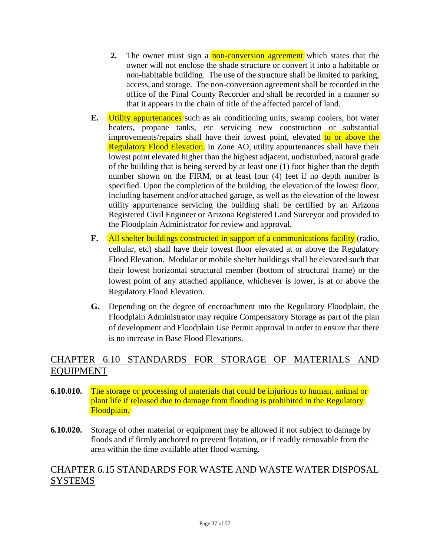- **2.** The owner must sign a **non-conversion agreement** which states that the owner will not enclose the shade structure or convert it into a habitable or non-habitable building. The use of the structure shall be limited to parking, access, and storage. The non-conversion agreement shall be recorded in the office of the Pinal County Recorder and shall be recorded in a manner so that it appears in the chain of title of the affected parcel of land.
- **E.** Utility appurtenances such as air conditioning units, swamp coolers, hot water heaters, propane tanks, etc servicing new construction or substantial improvements/repairs shall have their lowest point, elevated to or above the Regulatory Flood Elevation. In Zone AO, utility appurtenances shall have their lowest point elevated higher than the highest adjacent, undisturbed, natural grade of the building that is being served by at least one (1) foot higher than the depth number shown on the FIRM, or at least four (4) feet if no depth number is specified. Upon the completion of the building, the elevation of the lowest floor, including basement and/or attached garage, as well as the elevation of the lowest utility appurtenance servicing the building shall be certified by an Arizona Registered Civil Engineer or Arizona Registered Land Surveyor and provided to the Floodplain Administrator for review and approval.
- **F.** All shelter buildings constructed in support of a communications facility (radio, cellular, etc) shall have their lowest floor elevated at or above the Regulatory Flood Elevation. Modular or mobile shelter buildings shall be elevated such that their lowest horizontal structural member (bottom of structural frame) or the lowest point of any attached appliance, whichever is lower, is at or above the Regulatory Flood Elevation.
- **G.** Depending on the degree of encroachment into the Regulatory Floodplain, the Floodplain Administrator may require Compensatory Storage as part of the plan of development and Floodplain Use Permit approval in order to ensure that there is no increase in Base Flood Elevations.

# CHAPTER 6.10 STANDARDS FOR STORAGE OF MATERIALS AND EQUIPMENT

- **6.10.010.** The storage or processing of materials that could be injurious to human, animal or plant life if released due to damage from flooding is prohibited in the Regulatory Floodplain.
- **6.10.020.** Storage of other material or equipment may be allowed if not subject to damage by floods and if firmly anchored to prevent flotation, or if readily removable from the area within the time available after flood warning.

#### CHAPTER 6.15 STANDARDS FOR WASTE AND WASTE WATER DISPOSAL SYSTEMS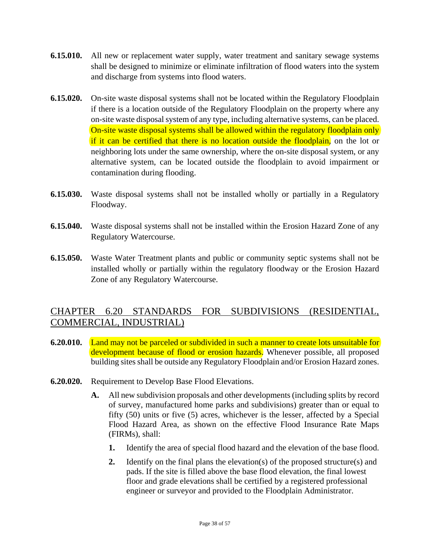- **6.15.010.** All new or replacement water supply, water treatment and sanitary sewage systems shall be designed to minimize or eliminate infiltration of flood waters into the system and discharge from systems into flood waters.
- **6.15.020.** On-site waste disposal systems shall not be located within the Regulatory Floodplain if there is a location outside of the Regulatory Floodplain on the property where any on-site waste disposal system of any type, including alternative systems, can be placed. On-site waste disposal systems shall be allowed within the regulatory floodplain only if it can be certified that there is no location outside the floodplain, on the lot or neighboring lots under the same ownership, where the on-site disposal system, or any alternative system, can be located outside the floodplain to avoid impairment or contamination during flooding.
- **6.15.030.** Waste disposal systems shall not be installed wholly or partially in a Regulatory Floodway.
- **6.15.040.** Waste disposal systems shall not be installed within the Erosion Hazard Zone of any Regulatory Watercourse.
- **6.15.050.** Waste Water Treatment plants and public or community septic systems shall not be installed wholly or partially within the regulatory floodway or the Erosion Hazard Zone of any Regulatory Watercourse.

#### CHAPTER 6.20 STANDARDS FOR SUBDIVISIONS (RESIDENTIAL, COMMERCIAL, INDUSTRIAL)

- **6.20.010.** Land may not be parceled or subdivided in such a manner to create lots unsuitable for development because of flood or erosion hazards. Whenever possible, all proposed building sites shall be outside any Regulatory Floodplain and/or Erosion Hazard zones.
- **6.20.020.** Requirement to Develop Base Flood Elevations.
	- **A.** All new subdivision proposals and other developments (including splits by record of survey, manufactured home parks and subdivisions) greater than or equal to fifty (50) units or five (5) acres, whichever is the lesser, affected by a Special Flood Hazard Area, as shown on the effective Flood Insurance Rate Maps (FIRMs), shall:
		- **1.** Identify the area of special flood hazard and the elevation of the base flood.
		- **2.** Identify on the final plans the elevation(s) of the proposed structure(s) and pads. If the site is filled above the base flood elevation, the final lowest floor and grade elevations shall be certified by a registered professional engineer or surveyor and provided to the Floodplain Administrator.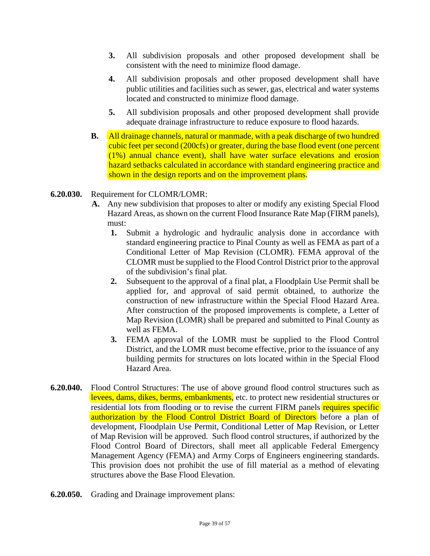- **3.** All subdivision proposals and other proposed development shall be consistent with the need to minimize flood damage.
- **4.** All subdivision proposals and other proposed development shall have public utilities and facilities such as sewer, gas, electrical and water systems located and constructed to minimize flood damage.
- **5.** All subdivision proposals and other proposed development shall provide adequate drainage infrastructure to reduce exposure to flood hazards.
- **B.** All drainage channels, natural or manmade, with a peak discharge of two hundred cubic feet per second (200cfs) or greater, during the base flood event (one percent (1%) annual chance event), shall have water surface elevations and erosion hazard setbacks calculated in accordance with standard engineering practice and shown in the design reports and on the improvement plans.
- **6.20.030.** Requirement for CLOMR/LOMR:
	- **A.** Any new subdivision that proposes to alter or modify any existing Special Flood Hazard Areas, as shown on the current Flood Insurance Rate Map (FIRM panels), must:
		- **1.** Submit a hydrologic and hydraulic analysis done in accordance with standard engineering practice to Pinal County as well as FEMA as part of a Conditional Letter of Map Revision (CLOMR). FEMA approval of the CLOMR must be supplied to the Flood Control District prior to the approval of the subdivision's final plat.
		- **2.** Subsequent to the approval of a final plat, a Floodplain Use Permit shall be applied for, and approval of said permit obtained, to authorize the construction of new infrastructure within the Special Flood Hazard Area. After construction of the proposed improvements is complete, a Letter of Map Revision (LOMR) shall be prepared and submitted to Pinal County as well as FEMA.
		- **3.** FEMA approval of the LOMR must be supplied to the Flood Control District, and the LOMR must become effective, prior to the issuance of any building permits for structures on lots located within in the Special Flood Hazard Area.
- **6.20.040.** Flood Control Structures: The use of above ground flood control structures such as levees, dams, dikes, berms, embankments, etc. to protect new residential structures or residential lots from flooding or to revise the current FIRM panels requires specific authorization by the Flood Control District Board of Directors before a plan of development, Floodplain Use Permit, Conditional Letter of Map Revision, or Letter of Map Revision will be approved. Such flood control structures, if authorized by the Flood Control Board of Directors, shall meet all applicable Federal Emergency Management Agency (FEMA) and Army Corps of Engineers engineering standards. This provision does not prohibit the use of fill material as a method of elevating structures above the Base Flood Elevation.
- **6.20.050.** Grading and Drainage improvement plans: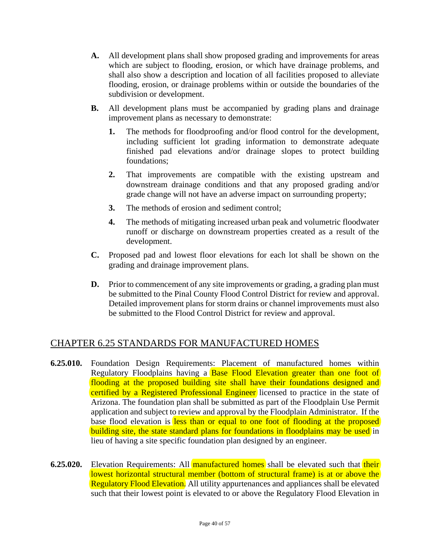- **A.** All development plans shall show proposed grading and improvements for areas which are subject to flooding, erosion, or which have drainage problems, and shall also show a description and location of all facilities proposed to alleviate flooding, erosion, or drainage problems within or outside the boundaries of the subdivision or development.
- **B.** All development plans must be accompanied by grading plans and drainage improvement plans as necessary to demonstrate:
	- **1.** The methods for floodproofing and/or flood control for the development, including sufficient lot grading information to demonstrate adequate finished pad elevations and/or drainage slopes to protect building foundations;
	- **2.** That improvements are compatible with the existing upstream and downstream drainage conditions and that any proposed grading and/or grade change will not have an adverse impact on surrounding property;
	- **3.** The methods of erosion and sediment control;
	- **4.** The methods of mitigating increased urban peak and volumetric floodwater runoff or discharge on downstream properties created as a result of the development.
- **C.** Proposed pad and lowest floor elevations for each lot shall be shown on the grading and drainage improvement plans.
- **D.** Prior to commencement of any site improvements or grading, a grading plan must be submitted to the Pinal County Flood Control District for review and approval. Detailed improvement plans for storm drains or channel improvements must also be submitted to the Flood Control District for review and approval.

#### CHAPTER 6.25 STANDARDS FOR MANUFACTURED HOMES

- **6.25.010.** Foundation Design Requirements: Placement of manufactured homes within Regulatory Floodplains having a **Base Flood Elevation greater than one foot of** flooding at the proposed building site shall have their foundations designed and certified by a Registered Professional Engineer licensed to practice in the state of Arizona. The foundation plan shall be submitted as part of the Floodplain Use Permit application and subject to review and approval by the Floodplain Administrator. If the base flood elevation is less than or equal to one foot of flooding at the proposed building site, the state standard plans for foundations in floodplains may be used in lieu of having a site specific foundation plan designed by an engineer.
- **6.25.020.** Elevation Requirements: All **manufactured homes** shall be elevated such that **their** lowest horizontal structural member (bottom of structural frame) is at or above the Regulatory Flood Elevation. All utility appurtenances and appliances shall be elevated such that their lowest point is elevated to or above the Regulatory Flood Elevation in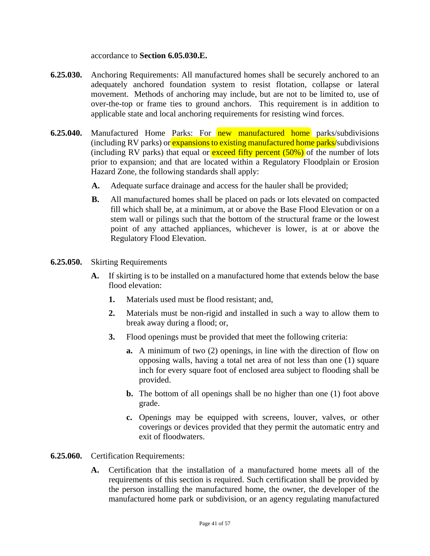accordance to **Section 6.05.030.E.**

- **6.25.030.** Anchoring Requirements: All manufactured homes shall be securely anchored to an adequately anchored foundation system to resist flotation, collapse or lateral movement. Methods of anchoring may include, but are not to be limited to, use of over-the-top or frame ties to ground anchors. This requirement is in addition to applicable state and local anchoring requirements for resisting wind forces.
- **6.25.040.** Manufactured Home Parks: For **new manufactured home** parks/subdivisions (including RV parks) or expansions to existing manufactured home parks/subdivisions (including RV parks) that equal or **exceed fifty percent (50%)** of the number of lots prior to expansion; and that are located within a Regulatory Floodplain or Erosion Hazard Zone, the following standards shall apply:
	- **A.** Adequate surface drainage and access for the hauler shall be provided;
	- **B.** All manufactured homes shall be placed on pads or lots elevated on compacted fill which shall be, at a minimum, at or above the Base Flood Elevation or on a stem wall or pilings such that the bottom of the structural frame or the lowest point of any attached appliances, whichever is lower, is at or above the Regulatory Flood Elevation.
- **6.25.050.** Skirting Requirements
	- **A.** If skirting is to be installed on a manufactured home that extends below the base flood elevation:
		- **1.** Materials used must be flood resistant; and,
		- **2.** Materials must be non-rigid and installed in such a way to allow them to break away during a flood; or,
		- **3.** Flood openings must be provided that meet the following criteria:
			- **a.** A minimum of two (2) openings, in line with the direction of flow on opposing walls, having a total net area of not less than one (1) square inch for every square foot of enclosed area subject to flooding shall be provided.
			- **b.** The bottom of all openings shall be no higher than one (1) foot above grade.
			- **c.** Openings may be equipped with screens, louver, valves, or other coverings or devices provided that they permit the automatic entry and exit of floodwaters.
- **6.25.060.** Certification Requirements:
	- **A.** Certification that the installation of a manufactured home meets all of the requirements of this section is required. Such certification shall be provided by the person installing the manufactured home, the owner, the developer of the manufactured home park or subdivision, or an agency regulating manufactured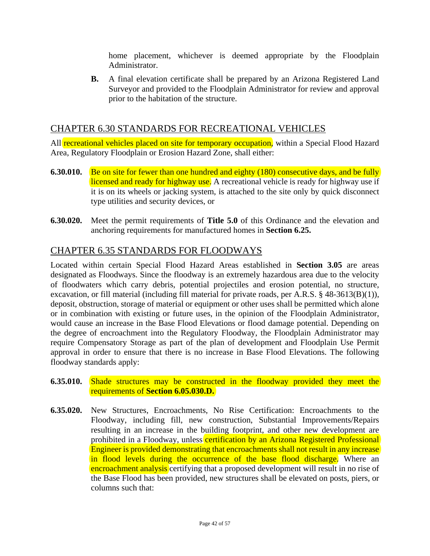home placement, whichever is deemed appropriate by the Floodplain Administrator.

**B.** A final elevation certificate shall be prepared by an Arizona Registered Land Surveyor and provided to the Floodplain Administrator for review and approval prior to the habitation of the structure.

#### CHAPTER 6.30 STANDARDS FOR RECREATIONAL VEHICLES

All recreational vehicles placed on site for temporary occupation, within a Special Flood Hazard Area, Regulatory Floodplain or Erosion Hazard Zone, shall either:

- **6.30.010.** Be on site for fewer than one hundred and eighty (180) consecutive days, and be fully licensed and ready for highway use. A recreational vehicle is ready for highway use if it is on its wheels or jacking system, is attached to the site only by quick disconnect type utilities and security devices, or
- **6.30.020.** Meet the permit requirements of **Title 5.0** of this Ordinance and the elevation and anchoring requirements for manufactured homes in **Section 6.25.**

#### CHAPTER 6.35 STANDARDS FOR FLOODWAYS

Located within certain Special Flood Hazard Areas established in **Section 3.05** are areas designated as Floodways. Since the floodway is an extremely hazardous area due to the velocity of floodwaters which carry debris, potential projectiles and erosion potential, no structure, excavation, or fill material (including fill material for private roads, per A.R.S. § 48-3613(B)(1)), deposit, obstruction, storage of material or equipment or other uses shall be permitted which alone or in combination with existing or future uses, in the opinion of the Floodplain Administrator, would cause an increase in the Base Flood Elevations or flood damage potential. Depending on the degree of encroachment into the Regulatory Floodway, the Floodplain Administrator may require Compensatory Storage as part of the plan of development and Floodplain Use Permit approval in order to ensure that there is no increase in Base Flood Elevations. The following floodway standards apply:

- **6.35.010.** Shade structures may be constructed in the floodway provided they meet the requirements of **Section 6.05.030.D.**
- **6.35.020.** New Structures, Encroachments, No Rise Certification: Encroachments to the Floodway, including fill, new construction, Substantial Improvements/Repairs resulting in an increase in the building footprint, and other new development are prohibited in a Floodway, unless certification by an Arizona Registered Professional Engineer is provided demonstrating that encroachments shall not result in any increase in flood levels during the occurrence of the base flood discharge. Where an encroachment analysis certifying that a proposed development will result in no rise of the Base Flood has been provided, new structures shall be elevated on posts, piers, or columns such that: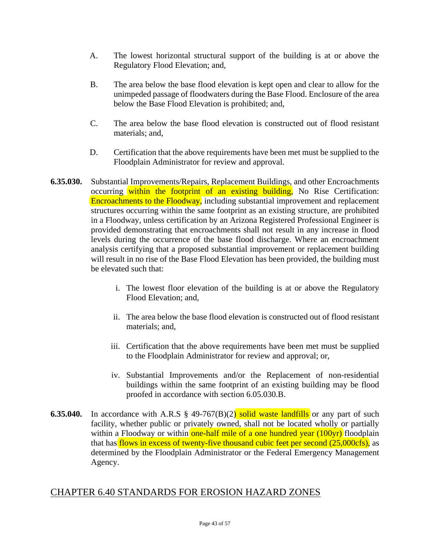- A. The lowest horizontal structural support of the building is at or above the Regulatory Flood Elevation; and,
- B. The area below the base flood elevation is kept open and clear to allow for the unimpeded passage of floodwaters during the Base Flood. Enclosure of the area below the Base Flood Elevation is prohibited; and,
- C. The area below the base flood elevation is constructed out of flood resistant materials; and,
- D. Certification that the above requirements have been met must be supplied to the Floodplain Administrator for review and approval.
- **6.35.030.** Substantial Improvements/Repairs, Replacement Buildings, and other Encroachments occurring within the footprint of an existing building, No Rise Certification: Encroachments to the Floodway, including substantial improvement and replacement structures occurring within the same footprint as an existing structure, are prohibited in a Floodway, unless certification by an Arizona Registered Professional Engineer is provided demonstrating that encroachments shall not result in any increase in flood levels during the occurrence of the base flood discharge. Where an encroachment analysis certifying that a proposed substantial improvement or replacement building will result in no rise of the Base Flood Elevation has been provided, the building must be elevated such that:
	- i. The lowest floor elevation of the building is at or above the Regulatory Flood Elevation; and,
	- ii. The area below the base flood elevation is constructed out of flood resistant materials; and,
	- iii. Certification that the above requirements have been met must be supplied to the Floodplain Administrator for review and approval; or,
	- iv. Substantial Improvements and/or the Replacement of non-residential buildings within the same footprint of an existing building may be flood proofed in accordance with section 6.05.030.B.
- **6.35.040.** In accordance with A.R.S § 49-767(B)(2) solid waste landfills or any part of such facility, whether public or privately owned, shall not be located wholly or partially within a Floodway or within one-half mile of a one hundred year (100yr) floodplain that has flows in excess of twenty-five thousand cubic feet per second (25,000cfs), as determined by the Floodplain Administrator or the Federal Emergency Management Agency.

#### CHAPTER 6.40 STANDARDS FOR EROSION HAZARD ZONES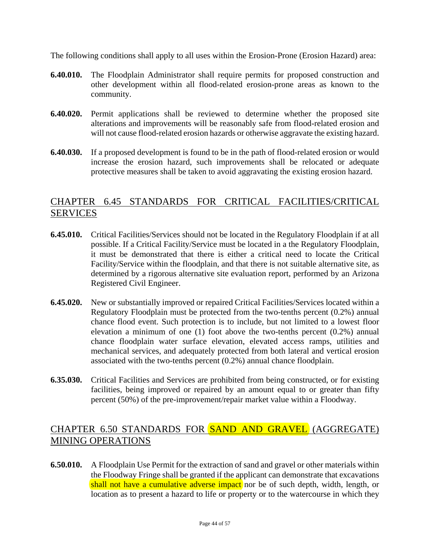The following conditions shall apply to all uses within the Erosion-Prone (Erosion Hazard) area:

- **6.40.010.** The Floodplain Administrator shall require permits for proposed construction and other development within all flood-related erosion-prone areas as known to the community.
- **6.40.020.** Permit applications shall be reviewed to determine whether the proposed site alterations and improvements will be reasonably safe from flood-related erosion and will not cause flood-related erosion hazards or otherwise aggravate the existing hazard.
- **6.40.030.** If a proposed development is found to be in the path of flood-related erosion or would increase the erosion hazard, such improvements shall be relocated or adequate protective measures shall be taken to avoid aggravating the existing erosion hazard.

#### CHAPTER 6.45 STANDARDS FOR CRITICAL FACILITIES/CRITICAL SERVICES

- **6.45.010.** Critical Facilities/Services should not be located in the Regulatory Floodplain if at all possible. If a Critical Facility/Service must be located in a the Regulatory Floodplain, it must be demonstrated that there is either a critical need to locate the Critical Facility/Service within the floodplain, and that there is not suitable alternative site, as determined by a rigorous alternative site evaluation report, performed by an Arizona Registered Civil Engineer.
- **6.45.020.** New or substantially improved or repaired Critical Facilities/Services located within a Regulatory Floodplain must be protected from the two-tenths percent (0.2%) annual chance flood event. Such protection is to include, but not limited to a lowest floor elevation a minimum of one (1) foot above the two-tenths percent (0.2%) annual chance floodplain water surface elevation, elevated access ramps, utilities and mechanical services, and adequately protected from both lateral and vertical erosion associated with the two-tenths percent (0.2%) annual chance floodplain.
- **6.35.030.** Critical Facilities and Services are prohibited from being constructed, or for existing facilities, being improved or repaired by an amount equal to or greater than fifty percent (50%) of the pre-improvement/repair market value within a Floodway.

#### CHAPTER 6.50 STANDARDS FOR SAND AND GRAVEL (AGGREGATE) MINING OPERATIONS

**6.50.010.** A Floodplain Use Permit for the extraction of sand and gravel or other materials within the Floodway Fringe shall be granted if the applicant can demonstrate that excavations shall not have a cumulative adverse impact nor be of such depth, width, length, or location as to present a hazard to life or property or to the watercourse in which they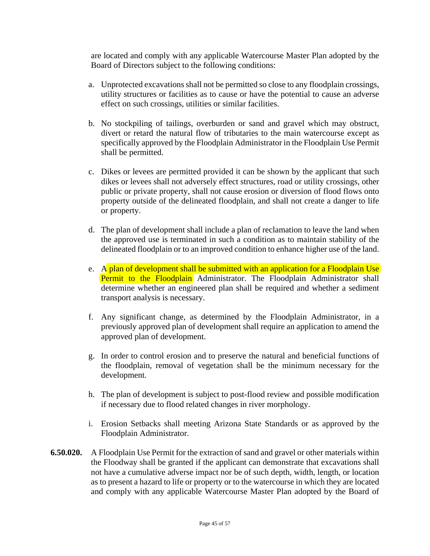are located and comply with any applicable Watercourse Master Plan adopted by the Board of Directors subject to the following conditions:

- a. Unprotected excavations shall not be permitted so close to any floodplain crossings, utility structures or facilities as to cause or have the potential to cause an adverse effect on such crossings, utilities or similar facilities.
- b. No stockpiling of tailings, overburden or sand and gravel which may obstruct, divert or retard the natural flow of tributaries to the main watercourse except as specifically approved by the Floodplain Administrator in the Floodplain Use Permit shall be permitted.
- c. Dikes or levees are permitted provided it can be shown by the applicant that such dikes or levees shall not adversely effect structures, road or utility crossings, other public or private property, shall not cause erosion or diversion of flood flows onto property outside of the delineated floodplain, and shall not create a danger to life or property.
- d. The plan of development shall include a plan of reclamation to leave the land when the approved use is terminated in such a condition as to maintain stability of the delineated floodplain or to an improved condition to enhance higher use of the land.
- e. A plan of development shall be submitted with an application for a Floodplain Use Permit to the Floodplain Administrator. The Floodplain Administrator shall determine whether an engineered plan shall be required and whether a sediment transport analysis is necessary.
- f. Any significant change, as determined by the Floodplain Administrator, in a previously approved plan of development shall require an application to amend the approved plan of development.
- g. In order to control erosion and to preserve the natural and beneficial functions of the floodplain, removal of vegetation shall be the minimum necessary for the development.
- h. The plan of development is subject to post-flood review and possible modification if necessary due to flood related changes in river morphology.
- i. Erosion Setbacks shall meeting Arizona State Standards or as approved by the Floodplain Administrator.
- **6.50.020.** A Floodplain Use Permit for the extraction of sand and gravel or other materials within the Floodway shall be granted if the applicant can demonstrate that excavations shall not have a cumulative adverse impact nor be of such depth, width, length, or location as to present a hazard to life or property or to the watercourse in which they are located and comply with any applicable Watercourse Master Plan adopted by the Board of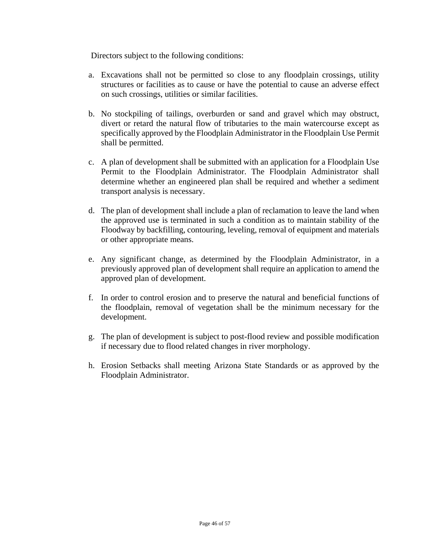Directors subject to the following conditions:

- a. Excavations shall not be permitted so close to any floodplain crossings, utility structures or facilities as to cause or have the potential to cause an adverse effect on such crossings, utilities or similar facilities.
- b. No stockpiling of tailings, overburden or sand and gravel which may obstruct, divert or retard the natural flow of tributaries to the main watercourse except as specifically approved by the Floodplain Administrator in the Floodplain Use Permit shall be permitted.
- c. A plan of development shall be submitted with an application for a Floodplain Use Permit to the Floodplain Administrator. The Floodplain Administrator shall determine whether an engineered plan shall be required and whether a sediment transport analysis is necessary.
- d. The plan of development shall include a plan of reclamation to leave the land when the approved use is terminated in such a condition as to maintain stability of the Floodway by backfilling, contouring, leveling, removal of equipment and materials or other appropriate means.
- e. Any significant change, as determined by the Floodplain Administrator, in a previously approved plan of development shall require an application to amend the approved plan of development.
- f. In order to control erosion and to preserve the natural and beneficial functions of the floodplain, removal of vegetation shall be the minimum necessary for the development.
- g. The plan of development is subject to post-flood review and possible modification if necessary due to flood related changes in river morphology.
- h. Erosion Setbacks shall meeting Arizona State Standards or as approved by the Floodplain Administrator.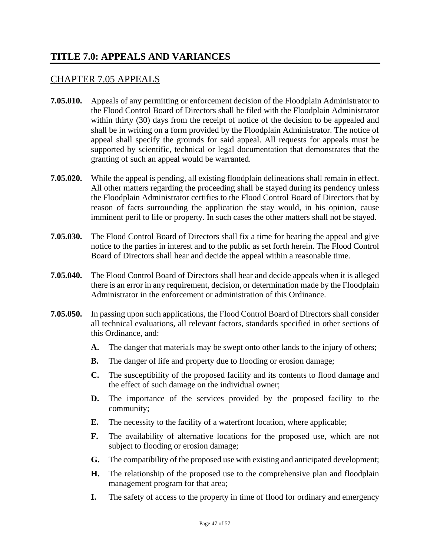#### **TITLE 7.0: APPEALS AND VARIANCES**

#### CHAPTER 7.05 APPEALS

- **7.05.010.** Appeals of any permitting or enforcement decision of the Floodplain Administrator to the Flood Control Board of Directors shall be filed with the Floodplain Administrator within thirty (30) days from the receipt of notice of the decision to be appealed and shall be in writing on a form provided by the Floodplain Administrator. The notice of appeal shall specify the grounds for said appeal. All requests for appeals must be supported by scientific, technical or legal documentation that demonstrates that the granting of such an appeal would be warranted.
- **7.05.020.** While the appeal is pending, all existing floodplain delineations shall remain in effect. All other matters regarding the proceeding shall be stayed during its pendency unless the Floodplain Administrator certifies to the Flood Control Board of Directors that by reason of facts surrounding the application the stay would, in his opinion, cause imminent peril to life or property. In such cases the other matters shall not be stayed.
- **7.05.030.** The Flood Control Board of Directors shall fix a time for hearing the appeal and give notice to the parties in interest and to the public as set forth herein. The Flood Control Board of Directors shall hear and decide the appeal within a reasonable time.
- **7.05.040.** The Flood Control Board of Directors shall hear and decide appeals when it is alleged there is an error in any requirement, decision, or determination made by the Floodplain Administrator in the enforcement or administration of this Ordinance.
- **7.05.050.** In passing upon such applications, the Flood Control Board of Directors shall consider all technical evaluations, all relevant factors, standards specified in other sections of this Ordinance, and:
	- **A.** The danger that materials may be swept onto other lands to the injury of others;
	- **B.** The danger of life and property due to flooding or erosion damage;
	- **C.** The susceptibility of the proposed facility and its contents to flood damage and the effect of such damage on the individual owner;
	- **D.** The importance of the services provided by the proposed facility to the community;
	- **E.** The necessity to the facility of a waterfront location, where applicable;
	- **F.** The availability of alternative locations for the proposed use, which are not subject to flooding or erosion damage;
	- **G.** The compatibility of the proposed use with existing and anticipated development;
	- **H.** The relationship of the proposed use to the comprehensive plan and floodplain management program for that area;
	- **I.** The safety of access to the property in time of flood for ordinary and emergency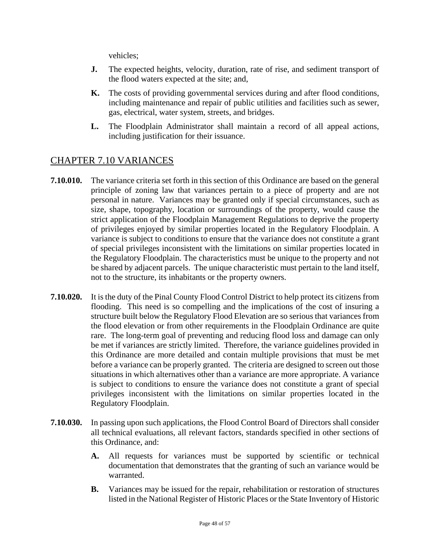vehicles;

- **J.** The expected heights, velocity, duration, rate of rise, and sediment transport of the flood waters expected at the site; and,
- **K.** The costs of providing governmental services during and after flood conditions, including maintenance and repair of public utilities and facilities such as sewer, gas, electrical, water system, streets, and bridges.
- **L.** The Floodplain Administrator shall maintain a record of all appeal actions, including justification for their issuance.

#### CHAPTER 7.10 VARIANCES

- **7.10.010.** The variance criteria set forth in this section of this Ordinance are based on the general principle of zoning law that variances pertain to a piece of property and are not personal in nature. Variances may be granted only if special circumstances, such as size, shape, topography, location or surroundings of the property, would cause the strict application of the Floodplain Management Regulations to deprive the property of privileges enjoyed by similar properties located in the Regulatory Floodplain. A variance is subject to conditions to ensure that the variance does not constitute a grant of special privileges inconsistent with the limitations on similar properties located in the Regulatory Floodplain. The characteristics must be unique to the property and not be shared by adjacent parcels. The unique characteristic must pertain to the land itself, not to the structure, its inhabitants or the property owners.
- **7.10.020.** It is the duty of the Pinal County Flood Control District to help protect its citizens from flooding. This need is so compelling and the implications of the cost of insuring a structure built below the Regulatory Flood Elevation are so serious that variances from the flood elevation or from other requirements in the Floodplain Ordinance are quite rare. The long-term goal of preventing and reducing flood loss and damage can only be met if variances are strictly limited. Therefore, the variance guidelines provided in this Ordinance are more detailed and contain multiple provisions that must be met before a variance can be properly granted. The criteria are designed to screen out those situations in which alternatives other than a variance are more appropriate. A variance is subject to conditions to ensure the variance does not constitute a grant of special privileges inconsistent with the limitations on similar properties located in the Regulatory Floodplain.
- **7.10.030.** In passing upon such applications, the Flood Control Board of Directors shall consider all technical evaluations, all relevant factors, standards specified in other sections of this Ordinance, and:
	- **A.** All requests for variances must be supported by scientific or technical documentation that demonstrates that the granting of such an variance would be warranted.
	- **B.** Variances may be issued for the repair, rehabilitation or restoration of structures listed in the National Register of Historic Places or the State Inventory of Historic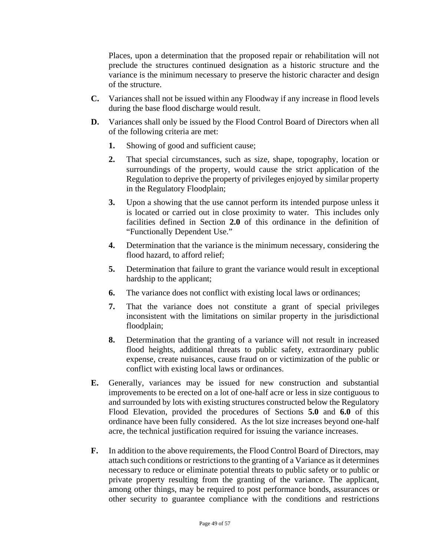Places, upon a determination that the proposed repair or rehabilitation will not preclude the structures continued designation as a historic structure and the variance is the minimum necessary to preserve the historic character and design of the structure.

- **C.** Variances shall not be issued within any Floodway if any increase in flood levels during the base flood discharge would result.
- **D.** Variances shall only be issued by the Flood Control Board of Directors when all of the following criteria are met:
	- **1.** Showing of good and sufficient cause;
	- **2.** That special circumstances, such as size, shape, topography, location or surroundings of the property, would cause the strict application of the Regulation to deprive the property of privileges enjoyed by similar property in the Regulatory Floodplain;
	- **3.** Upon a showing that the use cannot perform its intended purpose unless it is located or carried out in close proximity to water. This includes only facilities defined in Section **2.0** of this ordinance in the definition of "Functionally Dependent Use."
	- **4.** Determination that the variance is the minimum necessary, considering the flood hazard, to afford relief;
	- **5.** Determination that failure to grant the variance would result in exceptional hardship to the applicant;
	- **6.** The variance does not conflict with existing local laws or ordinances;
	- **7.** That the variance does not constitute a grant of special privileges inconsistent with the limitations on similar property in the jurisdictional floodplain;
	- **8.** Determination that the granting of a variance will not result in increased flood heights, additional threats to public safety, extraordinary public expense, create nuisances, cause fraud on or victimization of the public or conflict with existing local laws or ordinances.
- **E.** Generally, variances may be issued for new construction and substantial improvements to be erected on a lot of one-half acre or less in size contiguous to and surrounded by lots with existing structures constructed below the Regulatory Flood Elevation, provided the procedures of Sections **5.0** and **6.0** of this ordinance have been fully considered. As the lot size increases beyond one-half acre, the technical justification required for issuing the variance increases.
- **F.** In addition to the above requirements, the Flood Control Board of Directors, may attach such conditions or restrictions to the granting of a Variance as it determines necessary to reduce or eliminate potential threats to public safety or to public or private property resulting from the granting of the variance. The applicant, among other things, may be required to post performance bonds, assurances or other security to guarantee compliance with the conditions and restrictions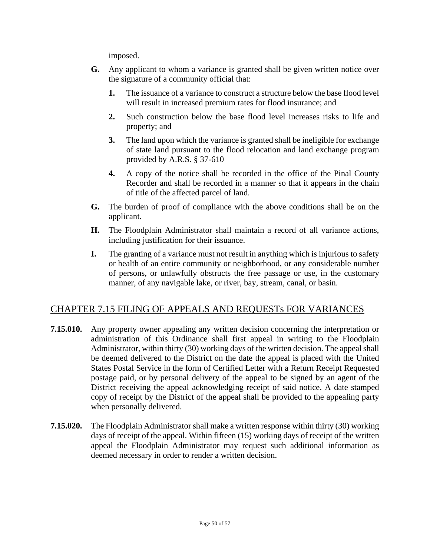imposed.

- **G.** Any applicant to whom a variance is granted shall be given written notice over the signature of a community official that:
	- **1.** The issuance of a variance to construct a structure below the base flood level will result in increased premium rates for flood insurance; and
	- **2.** Such construction below the base flood level increases risks to life and property; and
	- **3.** The land upon which the variance is granted shall be ineligible for exchange of state land pursuant to the flood relocation and land exchange program provided by A.R.S. § 37-610
	- **4.** A copy of the notice shall be recorded in the office of the Pinal County Recorder and shall be recorded in a manner so that it appears in the chain of title of the affected parcel of land.
- **G.** The burden of proof of compliance with the above conditions shall be on the applicant.
- **H.** The Floodplain Administrator shall maintain a record of all variance actions, including justification for their issuance.
- **I.** The granting of a variance must not result in anything which is injurious to safety or health of an entire community or neighborhood, or any considerable number of persons, or unlawfully obstructs the free passage or use, in the customary manner, of any navigable lake, or river, bay, stream, canal, or basin.

#### CHAPTER 7.15 FILING OF APPEALS AND REQUESTs FOR VARIANCES

- **7.15.010.** Any property owner appealing any written decision concerning the interpretation or administration of this Ordinance shall first appeal in writing to the Floodplain Administrator, within thirty (30) working days of the written decision. The appeal shall be deemed delivered to the District on the date the appeal is placed with the United States Postal Service in the form of Certified Letter with a Return Receipt Requested postage paid, or by personal delivery of the appeal to be signed by an agent of the District receiving the appeal acknowledging receipt of said notice. A date stamped copy of receipt by the District of the appeal shall be provided to the appealing party when personally delivered.
- **7.15.020.** The Floodplain Administrator shall make a written response within thirty (30) working days of receipt of the appeal. Within fifteen (15) working days of receipt of the written appeal the Floodplain Administrator may request such additional information as deemed necessary in order to render a written decision.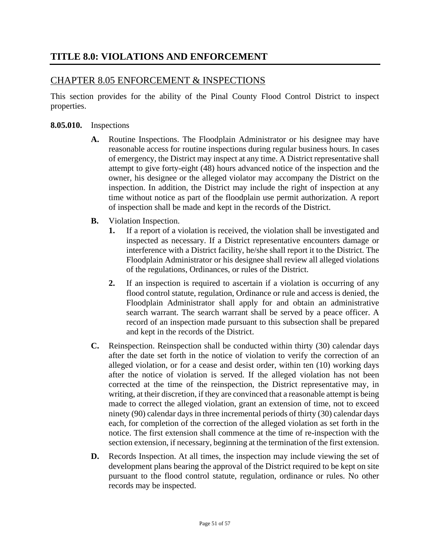# CHAPTER 8.05 ENFORCEMENT & INSPECTIONS

This section provides for the ability of the Pinal County Flood Control District to inspect properties.

#### **8.05.010.** Inspections

- **A.** Routine Inspections. The Floodplain Administrator or his designee may have reasonable access for routine inspections during regular business hours. In cases of emergency, the District may inspect at any time. A District representative shall attempt to give forty-eight (48) hours advanced notice of the inspection and the owner, his designee or the alleged violator may accompany the District on the inspection. In addition, the District may include the right of inspection at any time without notice as part of the floodplain use permit authorization. A report of inspection shall be made and kept in the records of the District.
- **B.** Violation Inspection.
	- **1.** If a report of a violation is received, the violation shall be investigated and inspected as necessary. If a District representative encounters damage or interference with a District facility, he/she shall report it to the District. The Floodplain Administrator or his designee shall review all alleged violations of the regulations, Ordinances, or rules of the District.
	- **2.** If an inspection is required to ascertain if a violation is occurring of any flood control statute, regulation, Ordinance or rule and access is denied, the Floodplain Administrator shall apply for and obtain an administrative search warrant. The search warrant shall be served by a peace officer. A record of an inspection made pursuant to this subsection shall be prepared and kept in the records of the District.
- **C.** Reinspection. Reinspection shall be conducted within thirty (30) calendar days after the date set forth in the notice of violation to verify the correction of an alleged violation, or for a cease and desist order, within ten (10) working days after the notice of violation is served. If the alleged violation has not been corrected at the time of the reinspection, the District representative may, in writing, at their discretion, if they are convinced that a reasonable attempt is being made to correct the alleged violation, grant an extension of time, not to exceed ninety (90) calendar days in three incremental periods of thirty (30) calendar days each, for completion of the correction of the alleged violation as set forth in the notice. The first extension shall commence at the time of re-inspection with the section extension, if necessary, beginning at the termination of the first extension.
- **D.** Records Inspection. At all times, the inspection may include viewing the set of development plans bearing the approval of the District required to be kept on site pursuant to the flood control statute, regulation, ordinance or rules. No other records may be inspected.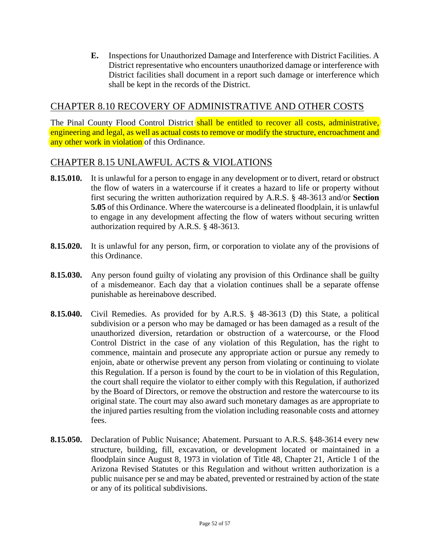**E.** Inspections for Unauthorized Damage and Interference with District Facilities. A District representative who encounters unauthorized damage or interference with District facilities shall document in a report such damage or interference which shall be kept in the records of the District.

#### CHAPTER 8.10 RECOVERY OF ADMINISTRATIVE AND OTHER COSTS

The Pinal County Flood Control District shall be entitled to recover all costs, administrative, engineering and legal, as well as actual costs to remove or modify the structure, encroachment and any other work in violation of this Ordinance.

#### CHAPTER 8.15 UNLAWFUL ACTS & VIOLATIONS

- **8.15.010.** It is unlawful for a person to engage in any development or to divert, retard or obstruct the flow of waters in a watercourse if it creates a hazard to life or property without first securing the written authorization required by A.R.S. § 48-3613 and/or **Section 5.05** of this Ordinance. Where the watercourse is a delineated floodplain, it is unlawful to engage in any development affecting the flow of waters without securing written authorization required by A.R.S. § 48-3613.
- **8.15.020.** It is unlawful for any person, firm, or corporation to violate any of the provisions of this Ordinance.
- **8.15.030.** Any person found guilty of violating any provision of this Ordinance shall be guilty of a misdemeanor. Each day that a violation continues shall be a separate offense punishable as hereinabove described.
- **8.15.040.** Civil Remedies. As provided for by A.R.S. § 48-3613 (D) this State, a political subdivision or a person who may be damaged or has been damaged as a result of the unauthorized diversion, retardation or obstruction of a watercourse, or the Flood Control District in the case of any violation of this Regulation, has the right to commence, maintain and prosecute any appropriate action or pursue any remedy to enjoin, abate or otherwise prevent any person from violating or continuing to violate this Regulation. If a person is found by the court to be in violation of this Regulation, the court shall require the violator to either comply with this Regulation, if authorized by the Board of Directors, or remove the obstruction and restore the watercourse to its original state. The court may also award such monetary damages as are appropriate to the injured parties resulting from the violation including reasonable costs and attorney fees.
- **8.15.050.** Declaration of Public Nuisance; Abatement. Pursuant to A.R.S. §48-3614 every new structure, building, fill, excavation, or development located or maintained in a floodplain since August 8, 1973 in violation of Title 48, Chapter 21, Article 1 of the Arizona Revised Statutes or this Regulation and without written authorization is a public nuisance per se and may be abated, prevented or restrained by action of the state or any of its political subdivisions.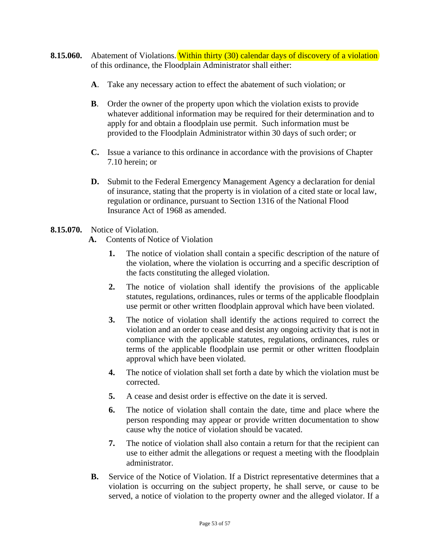- **8.15.060.** Abatement of Violations. Within thirty (30) calendar days of discovery of a violation of this ordinance, the Floodplain Administrator shall either:
	- **A**. Take any necessary action to effect the abatement of such violation; or
	- **B**. Order the owner of the property upon which the violation exists to provide whatever additional information may be required for their determination and to apply for and obtain a floodplain use permit. Such information must be provided to the Floodplain Administrator within 30 days of such order; or
	- **C.** Issue a variance to this ordinance in accordance with the provisions of Chapter 7.10 herein; or
	- **D.** Submit to the Federal Emergency Management Agency a declaration for denial of insurance, stating that the property is in violation of a cited state or local law, regulation or ordinance, pursuant to Section 1316 of the National Flood Insurance Act of 1968 as amended.

#### **8.15.070.** Notice of Violation.

- **A.** Contents of Notice of Violation
	- **1.** The notice of violation shall contain a specific description of the nature of the violation, where the violation is occurring and a specific description of the facts constituting the alleged violation.
	- **2.** The notice of violation shall identify the provisions of the applicable statutes, regulations, ordinances, rules or terms of the applicable floodplain use permit or other written floodplain approval which have been violated.
	- **3.** The notice of violation shall identify the actions required to correct the violation and an order to cease and desist any ongoing activity that is not in compliance with the applicable statutes, regulations, ordinances, rules or terms of the applicable floodplain use permit or other written floodplain approval which have been violated.
	- **4.** The notice of violation shall set forth a date by which the violation must be corrected.
	- **5.** A cease and desist order is effective on the date it is served.
	- **6.** The notice of violation shall contain the date, time and place where the person responding may appear or provide written documentation to show cause why the notice of violation should be vacated.
	- **7.** The notice of violation shall also contain a return for that the recipient can use to either admit the allegations or request a meeting with the floodplain administrator.
- **B.** Service of the Notice of Violation. If a District representative determines that a violation is occurring on the subject property, he shall serve, or cause to be served, a notice of violation to the property owner and the alleged violator. If a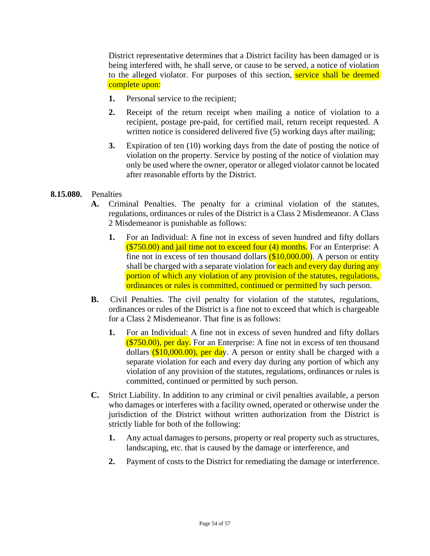District representative determines that a District facility has been damaged or is being interfered with, he shall serve, or cause to be served, a notice of violation to the alleged violator. For purposes of this section, **service shall be deemed** complete upon:

- **1.** Personal service to the recipient;
- **2.** Receipt of the return receipt when mailing a notice of violation to a recipient, postage pre-paid, for certified mail, return receipt requested. A written notice is considered delivered five (5) working days after mailing;
- **3.** Expiration of ten (10) working days from the date of posting the notice of violation on the property. Service by posting of the notice of violation may only be used where the owner, operator or alleged violator cannot be located after reasonable efforts by the District.

#### **8.15.080.** Penalties

- **A.** Criminal Penalties. The penalty for a criminal violation of the statutes, regulations, ordinances or rules of the District is a Class 2 Misdemeanor. A Class 2 Misdemeanor is punishable as follows:
	- **1.** For an Individual: A fine not in excess of seven hundred and fifty dollars  $($ \$750.00) and jail time not to exceed four  $(4)$  months. For an Enterprise: A fine not in excess of ten thousand dollars  $(10,000,00)$ . A person or entity shall be charged with a separate violation for each and every day during any portion of which any violation of any provision of the statutes, regulations, ordinances or rules is committed, continued or permitted by such person.
- **B.** Civil Penalties. The civil penalty for violation of the statutes, regulations, ordinances or rules of the District is a fine not to exceed that which is chargeable for a Class 2 Misdemeanor. That fine is as follows:
	- **1.** For an Individual: A fine not in excess of seven hundred and fifty dollars  $( $750.00)$ , per day. For an Enterprise: A fine not in excess of ten thousand dollars  $(10,000,00)$ , per day. A person or entity shall be charged with a separate violation for each and every day during any portion of which any violation of any provision of the statutes, regulations, ordinances or rules is committed, continued or permitted by such person.
- **C.** Strict Liability. In addition to any criminal or civil penalties available, a person who damages or interferes with a facility owned, operated or otherwise under the jurisdiction of the District without written authorization from the District is strictly liable for both of the following:
	- **1.** Any actual damages to persons, property or real property such as structures, landscaping, etc. that is caused by the damage or interference, and
	- **2.** Payment of costs to the District for remediating the damage or interference.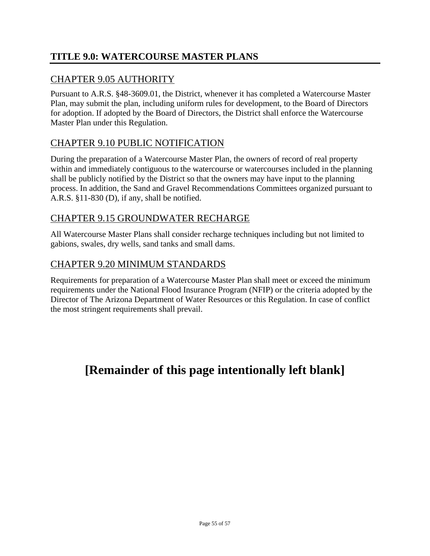# **TITLE 9.0: WATERCOURSE MASTER PLANS**

# CHAPTER 9.05 AUTHORITY

Pursuant to A.R.S. §48-3609.01, the District, whenever it has completed a Watercourse Master Plan, may submit the plan, including uniform rules for development, to the Board of Directors for adoption. If adopted by the Board of Directors, the District shall enforce the Watercourse Master Plan under this Regulation.

# CHAPTER 9.10 PUBLIC NOTIFICATION

During the preparation of a Watercourse Master Plan, the owners of record of real property within and immediately contiguous to the watercourse or watercourses included in the planning shall be publicly notified by the District so that the owners may have input to the planning process. In addition, the Sand and Gravel Recommendations Committees organized pursuant to A.R.S. §11-830 (D), if any, shall be notified.

#### CHAPTER 9.15 GROUNDWATER RECHARGE

All Watercourse Master Plans shall consider recharge techniques including but not limited to gabions, swales, dry wells, sand tanks and small dams.

#### CHAPTER 9.20 MINIMUM STANDARDS

Requirements for preparation of a Watercourse Master Plan shall meet or exceed the minimum requirements under the National Flood Insurance Program (NFIP) or the criteria adopted by the Director of The Arizona Department of Water Resources or this Regulation. In case of conflict the most stringent requirements shall prevail.

# **[Remainder of this page intentionally left blank]**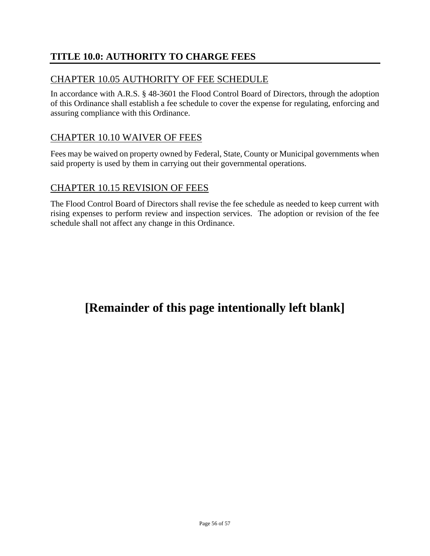# **TITLE 10.0: AUTHORITY TO CHARGE FEES**

#### CHAPTER 10.05 AUTHORITY OF FEE SCHEDULE

In accordance with A.R.S. § 48-3601 the Flood Control Board of Directors, through the adoption of this Ordinance shall establish a fee schedule to cover the expense for regulating, enforcing and assuring compliance with this Ordinance.

#### CHAPTER 10.10 WAIVER OF FEES

Fees may be waived on property owned by Federal, State, County or Municipal governments when said property is used by them in carrying out their governmental operations.

#### CHAPTER 10.15 REVISION OF FEES

The Flood Control Board of Directors shall revise the fee schedule as needed to keep current with rising expenses to perform review and inspection services. The adoption or revision of the fee schedule shall not affect any change in this Ordinance.

# **[Remainder of this page intentionally left blank]**